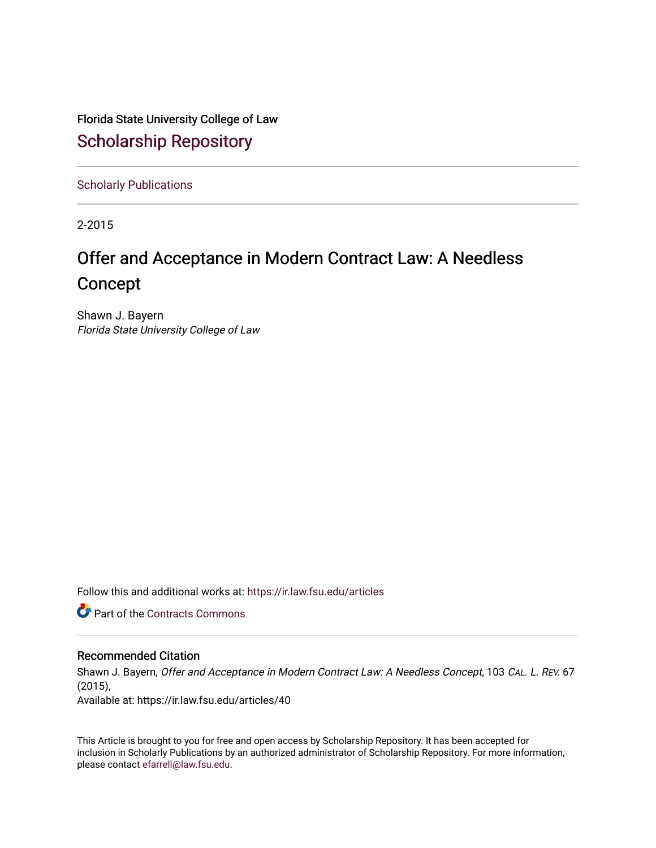Florida State University College of Law [Scholarship Repository](https://ir.law.fsu.edu/) 

[Scholarly Publications](https://ir.law.fsu.edu/articles) 

2-2015

# Offer and Acceptance in Modern Contract Law: A Needless Concept

Shawn J. Bayern Florida State University College of Law

Follow this and additional works at: [https://ir.law.fsu.edu/articles](https://ir.law.fsu.edu/articles?utm_source=ir.law.fsu.edu%2Farticles%2F40&utm_medium=PDF&utm_campaign=PDFCoverPages) 

**C** Part of the [Contracts Commons](http://network.bepress.com/hgg/discipline/591?utm_source=ir.law.fsu.edu%2Farticles%2F40&utm_medium=PDF&utm_campaign=PDFCoverPages)

# Recommended Citation

Shawn J. Bayern, Offer and Acceptance in Modern Contract Law: A Needless Concept, 103 CAL. L. REV. 67 (2015),

Available at: https://ir.law.fsu.edu/articles/40

This Article is brought to you for free and open access by Scholarship Repository. It has been accepted for inclusion in Scholarly Publications by an authorized administrator of Scholarship Repository. For more information, please contact [efarrell@law.fsu.edu.](mailto:efarrell@law.fsu.edu)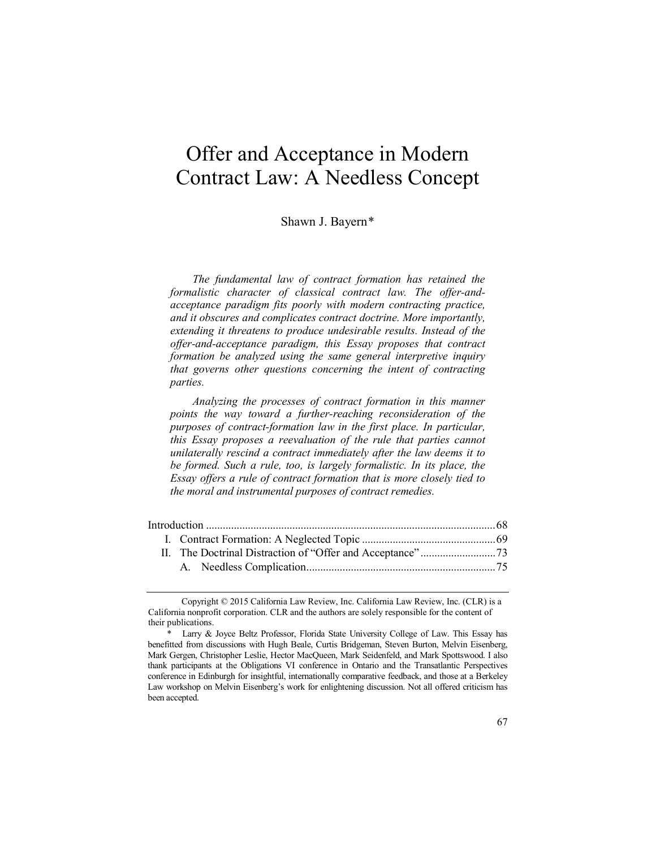# Offer and Acceptance in Modern Contract Law: A Needless Concept

# Shawn J. Bayern[\\*](#page-1-0)

*The fundamental law of contract formation has retained the formalistic character of classical contract law. The offer-andacceptance paradigm fits poorly with modern contracting practice, and it obscures and complicates contract doctrine. More importantly, extending it threatens to produce undesirable results. Instead of the offer-and-acceptance paradigm, this Essay proposes that contract formation be analyzed using the same general interpretive inquiry that governs other questions concerning the intent of contracting parties.*

*Analyzing the processes of contract formation in this manner points the way toward a further-reaching reconsideration of the purposes of contract-formation law in the first place. In particular, this Essay proposes a reevaluation of the rule that parties cannot unilaterally rescind a contract immediately after the law deems it to be formed. Such a rule, too, is largely formalistic. In its place, the Essay offers a rule of contract formation that is more closely tied to the moral and instrumental purposes of contract remedies.*

<span id="page-1-0"></span>Copyright © 2015 California Law Review, Inc. California Law Review, Inc. (CLR) is a California nonprofit corporation. CLR and the authors are solely responsible for the content of their publications.

Larry & Joyce Beltz Professor, Florida State University College of Law. This Essay has benefitted from discussions with Hugh Beale, Curtis Bridgeman, Steven Burton, Melvin Eisenberg, Mark Gergen, Christopher Leslie, Hector MacQueen, Mark Seidenfeld, and Mark Spottswood. I also thank participants at the Obligations VI conference in Ontario and the Transatlantic Perspectives conference in Edinburgh for insightful, internationally comparative feedback, and those at a Berkeley Law workshop on Melvin Eisenberg's work for enlightening discussion. Not all offered criticism has been accepted.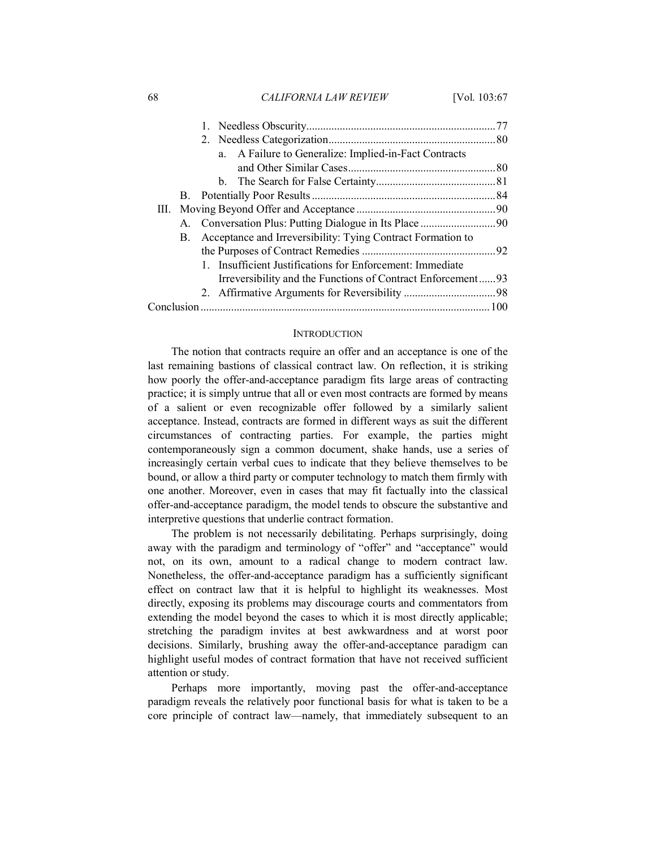68 *CALIFORNIA LAW REVIEW* [Vol. 103:67

|    | a. A Failure to Generalize: Implied-in-Fact Contracts       |  |
|----|-------------------------------------------------------------|--|
|    |                                                             |  |
|    |                                                             |  |
|    |                                                             |  |
|    |                                                             |  |
|    |                                                             |  |
| B. | Acceptance and Irreversibility: Tying Contract Formation to |  |
|    |                                                             |  |
|    | 1. Insufficient Justifications for Enforcement: Immediate   |  |
|    | Irreversibility and the Functions of Contract Enforcement93 |  |
|    |                                                             |  |
|    |                                                             |  |
|    |                                                             |  |

#### INTRODUCTION

The notion that contracts require an offer and an acceptance is one of the last remaining bastions of classical contract law. On reflection, it is striking how poorly the offer-and-acceptance paradigm fits large areas of contracting practice; it is simply untrue that all or even most contracts are formed by means of a salient or even recognizable offer followed by a similarly salient acceptance. Instead, contracts are formed in different ways as suit the different circumstances of contracting parties. For example, the parties might contemporaneously sign a common document, shake hands, use a series of increasingly certain verbal cues to indicate that they believe themselves to be bound, or allow a third party or computer technology to match them firmly with one another. Moreover, even in cases that may fit factually into the classical offer-and-acceptance paradigm, the model tends to obscure the substantive and interpretive questions that underlie contract formation.

The problem is not necessarily debilitating. Perhaps surprisingly, doing away with the paradigm and terminology of "offer" and "acceptance" would not, on its own, amount to a radical change to modern contract law. Nonetheless, the offer-and-acceptance paradigm has a sufficiently significant effect on contract law that it is helpful to highlight its weaknesses. Most directly, exposing its problems may discourage courts and commentators from extending the model beyond the cases to which it is most directly applicable; stretching the paradigm invites at best awkwardness and at worst poor decisions. Similarly, brushing away the offer-and-acceptance paradigm can highlight useful modes of contract formation that have not received sufficient attention or study.

Perhaps more importantly, moving past the offer-and-acceptance paradigm reveals the relatively poor functional basis for what is taken to be a core principle of contract law—namely, that immediately subsequent to an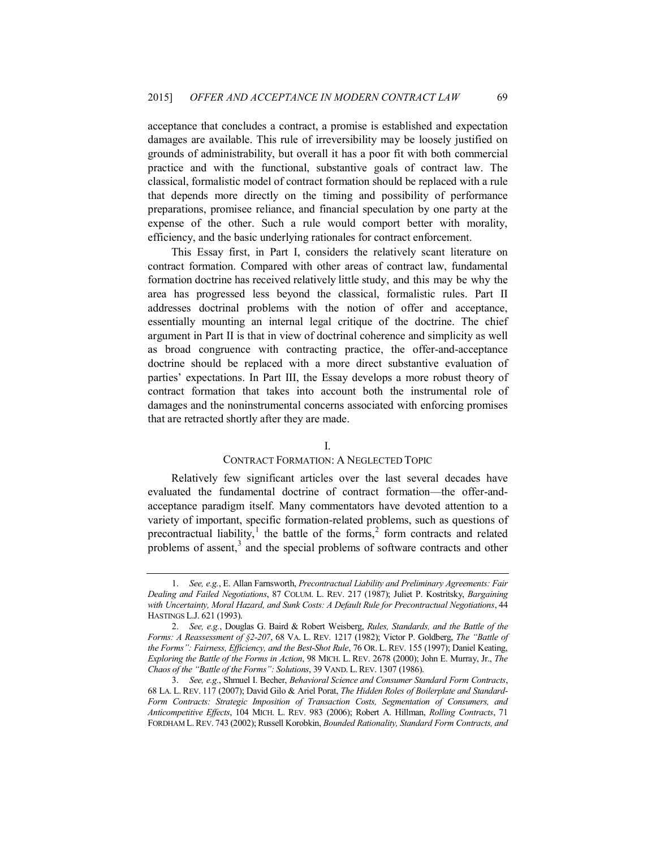acceptance that concludes a contract, a promise is established and expectation damages are available. This rule of irreversibility may be loosely justified on grounds of administrability, but overall it has a poor fit with both commercial practice and with the functional, substantive goals of contract law. The classical, formalistic model of contract formation should be replaced with a rule that depends more directly on the timing and possibility of performance preparations, promisee reliance, and financial speculation by one party at the expense of the other. Such a rule would comport better with morality, efficiency, and the basic underlying rationales for contract enforcement.

This Essay first, in Part I, considers the relatively scant literature on contract formation. Compared with other areas of contract law, fundamental formation doctrine has received relatively little study, and this may be why the area has progressed less beyond the classical, formalistic rules. Part II addresses doctrinal problems with the notion of offer and acceptance, essentially mounting an internal legal critique of the doctrine. The chief argument in Part II is that in view of doctrinal coherence and simplicity as well as broad congruence with contracting practice, the offer-and-acceptance doctrine should be replaced with a more direct substantive evaluation of parties' expectations. In Part III, the Essay develops a more robust theory of contract formation that takes into account both the instrumental role of damages and the noninstrumental concerns associated with enforcing promises that are retracted shortly after they are made.

# I.

# CONTRACT FORMATION: A NEGLECTED TOPIC

Relatively few significant articles over the last several decades have evaluated the fundamental doctrine of contract formation—the offer-andacceptance paradigm itself. Many commentators have devoted attention to a variety of important, specific formation-related problems, such as questions of precontractual liability, $\frac{1}{1}$  $\frac{1}{1}$  $\frac{1}{1}$  the battle of the forms, $\frac{2}{1}$  $\frac{2}{1}$  $\frac{2}{1}$  form contracts and related problems of assent,<sup>[3](#page-3-2)</sup> and the special problems of software contracts and other

<span id="page-3-0"></span><sup>1.</sup> *See, e.g.*, E. Allan Farnsworth, *Precontractual Liability and Preliminary Agreements: Fair Dealing and Failed Negotiations*, 87 COLUM. L. REV. 217 (1987); Juliet P. Kostritsky, *Bargaining with Uncertainty, Moral Hazard, and Sunk Costs: A Default Rule for Precontractual Negotiations*, 44 HASTINGS L.J. 621 (1993).

<span id="page-3-1"></span><sup>2.</sup> *See, e.g.*, Douglas G. Baird & Robert Weisberg, *Rules, Standards, and the Battle of the Forms: A Reassessment of §2-207*, 68 VA. L. REV. 1217 (1982); Victor P. Goldberg, *The "Battle of the Forms": Fairness, Efficiency, and the Best-Shot Rule*, 76 OR. L. REV. 155 (1997); Daniel Keating, *Exploring the Battle of the Forms in Action*, 98 MICH. L. REV. 2678 (2000); John E. Murray, Jr., *The Chaos of the "Battle of the Forms": Solutions*, 39 VAND. L. REV. 1307 (1986).

<span id="page-3-2"></span><sup>3.</sup> *See, e.g.*, Shmuel I. Becher, *Behavioral Science and Consumer Standard Form Contracts*, 68 LA. L. REV. 117 (2007); David Gilo & Ariel Porat, *The Hidden Roles of Boilerplate and Standard-Form Contracts: Strategic Imposition of Transaction Costs, Segmentation of Consumers, and Anticompetitive Effects*, 104 MICH. L. REV. 983 (2006); Robert A. Hillman, *Rolling Contracts*, 71 FORDHAM L. REV. 743 (2002);Russell Korobkin, *Bounded Rationality, Standard Form Contracts, and*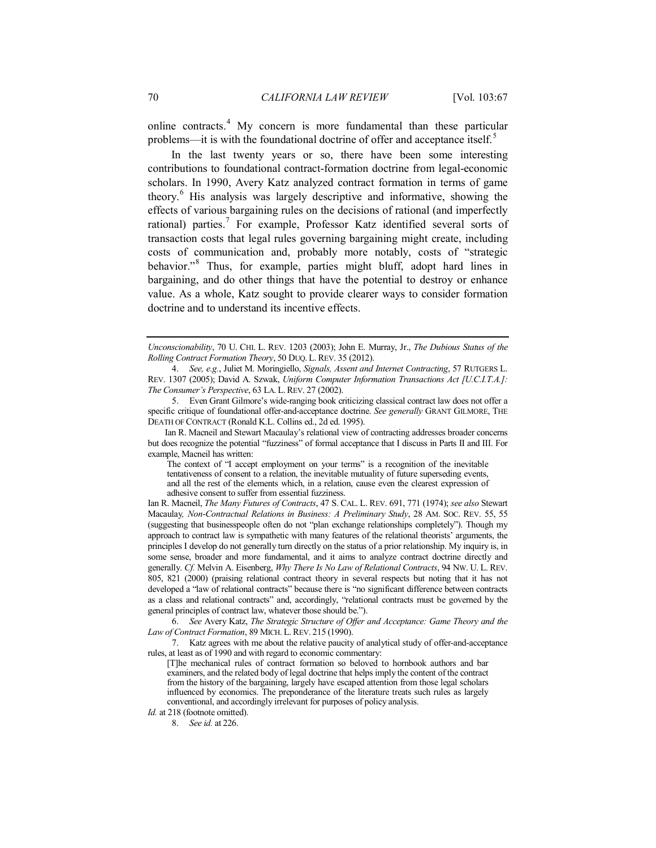online contracts.[4](#page-4-0) My concern is more fundamental than these particular problems—it is with the foundational doctrine of offer and acceptance itself.<sup>[5](#page-4-1)</sup>

In the last twenty years or so, there have been some interesting contributions to foundational contract-formation doctrine from legal-economic scholars. In 1990, Avery Katz analyzed contract formation in terms of game theory.[6](#page-4-2) His analysis was largely descriptive and informative, showing the effects of various bargaining rules on the decisions of rational (and imperfectly rational) parties.<sup>[7](#page-4-3)</sup> For example, Professor Katz identified several sorts of transaction costs that legal rules governing bargaining might create, including costs of communication and, probably more notably, costs of "strategic behavior."[8](#page-4-4) Thus, for example, parties might bluff, adopt hard lines in bargaining, and do other things that have the potential to destroy or enhance value. As a whole, Katz sought to provide clearer ways to consider formation doctrine and to understand its incentive effects.

<span id="page-4-2"></span>Ian R. Macneil and Stewart Macaulay's relational view of contracting addresses broader concerns but does recognize the potential "fuzziness" of formal acceptance that I discuss in Parts II and III. For example, Macneil has written:

The context of "I accept employment on your terms" is a recognition of the inevitable tentativeness of consent to a relation, the inevitable mutuality of future superseding events, and all the rest of the elements which, in a relation, cause even the clearest expression of adhesive consent to suffer from essential fuzziness.

Ian R. Macneil, *The Many Futures of Contracts*, 47 S. CAL. L. REV. 691, 771 (1974); *see also* Stewart Macaulay*, Non-Contractual Relations in Business: A Preliminary Study*, 28 AM. SOC. REV. 55, 55 (suggesting that businesspeople often do not "plan exchange relationships completely"). Though my approach to contract law is sympathetic with many features of the relational theorists' arguments, the principles I develop do not generally turn directly on the status of a prior relationship. My inquiry is, in some sense, broader and more fundamental, and it aims to analyze contract doctrine directly and generally. *Cf.* Melvin A. Eisenberg, *Why There Is No Law of Relational Contracts*, 94 NW. U. L. REV. 805, 821 (2000) (praising relational contract theory in several respects but noting that it has not developed a "law of relational contracts" because there is "no significant difference between contracts as a class and relational contracts" and, accordingly, "relational contracts must be governed by the general principles of contract law, whatever those should be.").

<span id="page-4-3"></span>6. *See* Avery Katz, *The Strategic Structure of Offer and Acceptance: Game Theory and the Law of Contract Formation*, 89 MICH. L. REV. 215 (1990).

7. Katz agrees with me about the relative paucity of analytical study of offer-and-acceptance rules, at least as of 1990 and with regard to economic commentary:

[T]he mechanical rules of contract formation so beloved to hornbook authors and bar examiners, and the related body of legal doctrine that helps imply the content of the contract from the history of the bargaining, largely have escaped attention from those legal scholars influenced by economics. The preponderance of the literature treats such rules as largely conventional, and accordingly irrelevant for purposes of policy analysis.

<span id="page-4-4"></span>*Id.* at 218 (footnote omitted).

8. *See id.* at 226.

*Unconscionability*, 70 U. CHI. L. REV. 1203 (2003); John E. Murray, Jr., *The Dubious Status of the Rolling Contract Formation Theory*, 50 DUQ. L. REV. 35 (2012).

<span id="page-4-0"></span><sup>4.</sup> *See, e.g.*, Juliet M. Moringiello, *Signals, Assent and Internet Contracting*, 57 RUTGERS L. REV. 1307 (2005); David A. Szwak, *Uniform Computer Information Transactions Act [U.C.I.T.A.]: The Consumer's Perspective*, 63 LA. L. REV. 27 (2002).

<span id="page-4-1"></span><sup>5.</sup> Even Grant Gilmore's wide-ranging book criticizing classical contract law does not offer a specific critique of foundational offer-and-acceptance doctrine. *See generally* GRANT GILMORE, THE DEATH OF CONTRACT (Ronald K.L. Collins ed., 2d ed. 1995).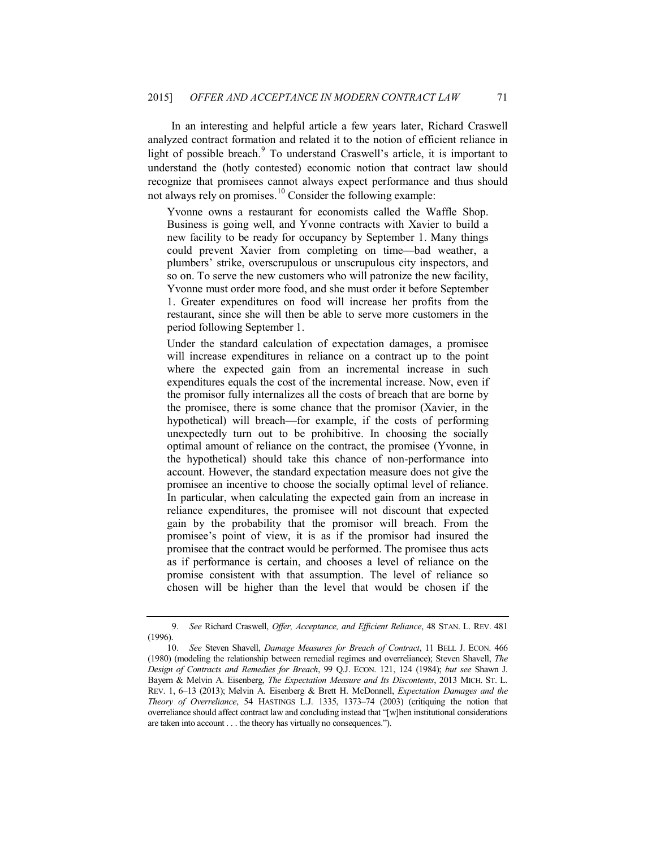In an interesting and helpful article a few years later, Richard Craswell analyzed contract formation and related it to the notion of efficient reliance in light of possible breach.<sup>[9](#page-5-0)</sup> To understand Craswell's article, it is important to understand the (hotly contested) economic notion that contract law should recognize that promisees cannot always expect performance and thus should not always rely on promises.<sup>[10](#page-5-1)</sup> Consider the following example:

<span id="page-5-3"></span><span id="page-5-2"></span>Yvonne owns a restaurant for economists called the Waffle Shop. Business is going well, and Yvonne contracts with Xavier to build a new facility to be ready for occupancy by September 1. Many things could prevent Xavier from completing on time—bad weather, a plumbers' strike, overscrupulous or unscrupulous city inspectors, and so on. To serve the new customers who will patronize the new facility, Yvonne must order more food, and she must order it before September 1. Greater expenditures on food will increase her profits from the restaurant, since she will then be able to serve more customers in the period following September 1.

Under the standard calculation of expectation damages, a promisee will increase expenditures in reliance on a contract up to the point where the expected gain from an incremental increase in such expenditures equals the cost of the incremental increase. Now, even if the promisor fully internalizes all the costs of breach that are borne by the promisee, there is some chance that the promisor (Xavier, in the hypothetical) will breach—for example, if the costs of performing unexpectedly turn out to be prohibitive. In choosing the socially optimal amount of reliance on the contract, the promisee (Yvonne, in the hypothetical) should take this chance of non-performance into account. However, the standard expectation measure does not give the promisee an incentive to choose the socially optimal level of reliance. In particular, when calculating the expected gain from an increase in reliance expenditures, the promisee will not discount that expected gain by the probability that the promisor will breach. From the promisee's point of view, it is as if the promisor had insured the promisee that the contract would be performed. The promisee thus acts as if performance is certain, and chooses a level of reliance on the promise consistent with that assumption. The level of reliance so chosen will be higher than the level that would be chosen if the

<span id="page-5-0"></span><sup>9.</sup> *See* Richard Craswell, *Offer, Acceptance, and Efficient Reliance*, 48 STAN. L. REV. 481 (1996).

<span id="page-5-1"></span><sup>10.</sup> *See* Steven Shavell, *Damage Measures for Breach of Contract*, 11 BELL J. ECON. 466 (1980) (modeling the relationship between remedial regimes and overreliance); Steven Shavell, *The Design of Contracts and Remedies for Breach*, 99 Q.J. ECON. 121, 124 (1984); *but see* Shawn J. Bayern & Melvin A. Eisenberg, *The Expectation Measure and Its Discontents*, 2013 MICH. ST. L. REV. 1, 6–13 (2013); Melvin A. Eisenberg & Brett H. McDonnell, *Expectation Damages and the Theory of Overreliance*, 54 HASTINGS L.J. 1335, 1373–74 (2003) (critiquing the notion that overreliance should affect contract law and concluding instead that "[w]hen institutional considerations are taken into account . . . the theory has virtually no consequences.").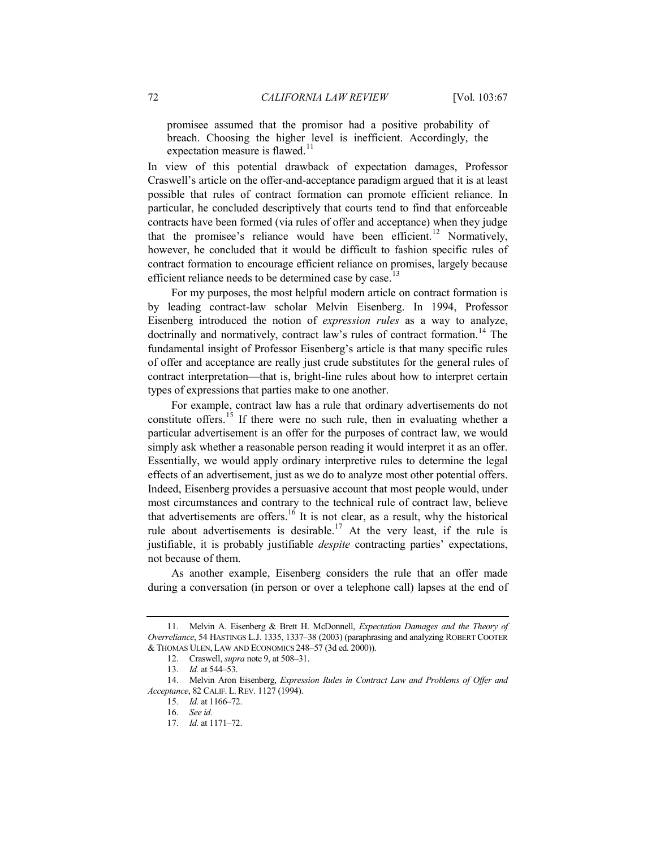promisee assumed that the promisor had a positive probability of breach. Choosing the higher level is inefficient. Accordingly, the expectation measure is flawed. $11$ 

In view of this potential drawback of expectation damages, Professor Craswell's article on the offer-and-acceptance paradigm argued that it is at least possible that rules of contract formation can promote efficient reliance. In particular, he concluded descriptively that courts tend to find that enforceable contracts have been formed (via rules of offer and acceptance) when they judge that the promisee's reliance would have been efficient.<sup>[12](#page-6-1)</sup> Normatively, however, he concluded that it would be difficult to fashion specific rules of contract formation to encourage efficient reliance on promises, largely because efficient reliance needs to be determined case by case.<sup>[13](#page-6-2)</sup>

<span id="page-6-7"></span>For my purposes, the most helpful modern article on contract formation is by leading contract-law scholar Melvin Eisenberg. In 1994, Professor Eisenberg introduced the notion of *expression rules* as a way to analyze, doctrinally and normatively, contract law's rules of contract formation.<sup>[14](#page-6-3)</sup> The fundamental insight of Professor Eisenberg's article is that many specific rules of offer and acceptance are really just crude substitutes for the general rules of contract interpretation—that is, bright-line rules about how to interpret certain types of expressions that parties make to one another.

For example, contract law has a rule that ordinary advertisements do not constitute offers.<sup>[15](#page-6-4)</sup> If there were no such rule, then in evaluating whether a particular advertisement is an offer for the purposes of contract law, we would simply ask whether a reasonable person reading it would interpret it as an offer. Essentially, we would apply ordinary interpretive rules to determine the legal effects of an advertisement, just as we do to analyze most other potential offers. Indeed, Eisenberg provides a persuasive account that most people would, under most circumstances and contrary to the technical rule of contract law, believe that advertisements are offers.<sup>[16](#page-6-5)</sup> It is not clear, as a result, why the historical rule about advertisements is desirable.<sup>[17](#page-6-6)</sup> At the very least, if the rule is justifiable, it is probably justifiable *despite* contracting parties' expectations, not because of them.

As another example, Eisenberg considers the rule that an offer made during a conversation (in person or over a telephone call) lapses at the end of

<span id="page-6-0"></span><sup>11.</sup> Melvin A. Eisenberg & Brett H. McDonnell, *Expectation Damages and the Theory of Overreliance*, 54 HASTINGS L.J. 1335, 1337–38 (2003) (paraphrasing and analyzing ROBERT COOTER &THOMAS ULEN, LAW AND ECONOMICS 248–57 (3d ed. 2000)).

<sup>12.</sup> Craswell, *supra* not[e 9,](#page-5-2) at 508–31.

<sup>13.</sup> *Id.* at 544–53.

<span id="page-6-6"></span><span id="page-6-5"></span><span id="page-6-4"></span><span id="page-6-3"></span><span id="page-6-2"></span><span id="page-6-1"></span><sup>14.</sup> Melvin Aron Eisenberg, *Expression Rules in Contract Law and Problems of Offer and Acceptance*, 82 CALIF. L. REV. 1127 (1994).

<sup>15.</sup> *Id.* at 1166–72.

<sup>16.</sup> *See id.*

<sup>17.</sup> *Id.* at 1171–72.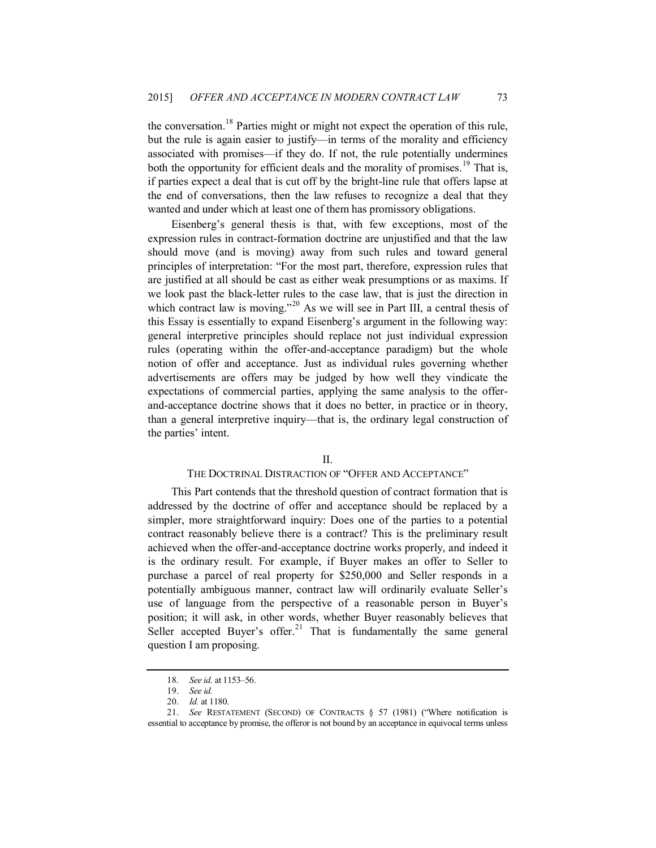the conversation.<sup>[18](#page-7-0)</sup> Parties might or might not expect the operation of this rule, but the rule is again easier to justify—in terms of the morality and efficiency associated with promises—if they do. If not, the rule potentially undermines both the opportunity for efficient deals and the morality of promises.<sup>[19](#page-7-1)</sup> That is, if parties expect a deal that is cut off by the bright-line rule that offers lapse at the end of conversations, then the law refuses to recognize a deal that they wanted and under which at least one of them has promissory obligations.

Eisenberg's general thesis is that, with few exceptions, most of the expression rules in contract-formation doctrine are unjustified and that the law should move (and is moving) away from such rules and toward general principles of interpretation: "For the most part, therefore, expression rules that are justified at all should be cast as either weak presumptions or as maxims. If we look past the black-letter rules to the case law, that is just the direction in which contract law is moving."<sup>[20](#page-7-2)</sup> As we will see in Part III, a central thesis of this Essay is essentially to expand Eisenberg's argument in the following way: general interpretive principles should replace not just individual expression rules (operating within the offer-and-acceptance paradigm) but the whole notion of offer and acceptance. Just as individual rules governing whether advertisements are offers may be judged by how well they vindicate the expectations of commercial parties, applying the same analysis to the offerand-acceptance doctrine shows that it does no better, in practice or in theory, than a general interpretive inquiry—that is, the ordinary legal construction of the parties' intent.

# II.

#### THE DOCTRINAL DISTRACTION OF "OFFER AND ACCEPTANCE"

This Part contends that the threshold question of contract formation that is addressed by the doctrine of offer and acceptance should be replaced by a simpler, more straightforward inquiry: Does one of the parties to a potential contract reasonably believe there is a contract? This is the preliminary result achieved when the offer-and-acceptance doctrine works properly, and indeed it is the ordinary result. For example, if Buyer makes an offer to Seller to purchase a parcel of real property for \$250,000 and Seller responds in a potentially ambiguous manner, contract law will ordinarily evaluate Seller's use of language from the perspective of a reasonable person in Buyer's position; it will ask, in other words, whether Buyer reasonably believes that Seller accepted Buyer's offer.<sup>[21](#page-7-3)</sup> That is fundamentally the same general question I am proposing.

<sup>18.</sup> *See id.* at 1153–56.

<sup>19.</sup> *See id.*

<sup>20.</sup> *Id.* at 1180.

<span id="page-7-3"></span><span id="page-7-2"></span><span id="page-7-1"></span><span id="page-7-0"></span><sup>21.</sup> *See* RESTATEMENT (SECOND) OF CONTRACTS § 57 (1981) ("Where notification is essential to acceptance by promise, the offeror is not bound by an acceptance in equivocal terms unless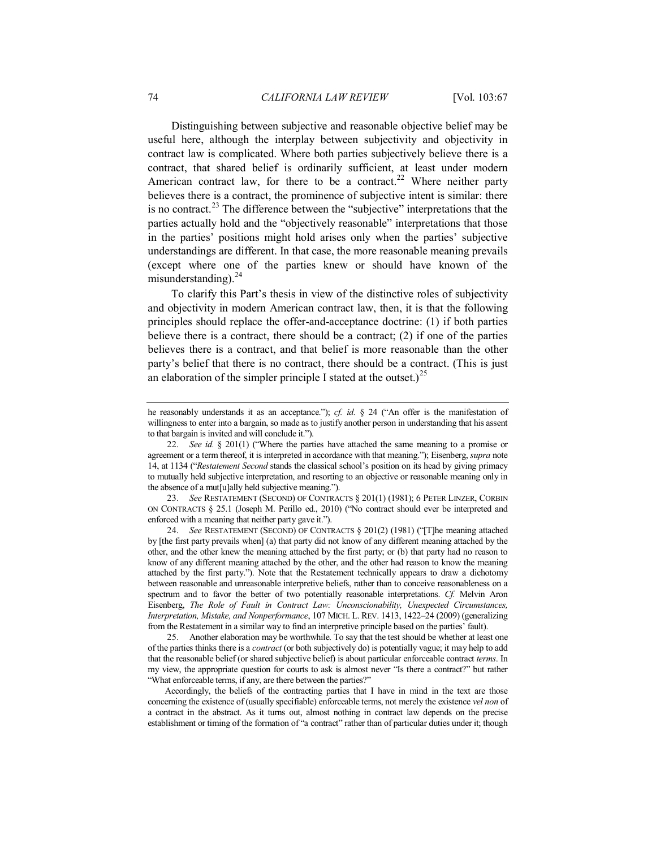Distinguishing between subjective and reasonable objective belief may be useful here, although the interplay between subjectivity and objectivity in contract law is complicated. Where both parties subjectively believe there is a contract, that shared belief is ordinarily sufficient, at least under modern American contract law, for there to be a contract.<sup>[22](#page-8-0)</sup> Where neither party believes there is a contract, the prominence of subjective intent is similar: there is no contract.<sup>[23](#page-8-1)</sup> The difference between the "subjective" interpretations that the parties actually hold and the "objectively reasonable" interpretations that those in the parties' positions might hold arises only when the parties' subjective understandings are different. In that case, the more reasonable meaning prevails (except where one of the parties knew or should have known of the misunderstanding). $^{24}$  $^{24}$  $^{24}$ 

To clarify this Part's thesis in view of the distinctive roles of subjectivity and objectivity in modern American contract law, then, it is that the following principles should replace the offer-and-acceptance doctrine: (1) if both parties believe there is a contract, there should be a contract; (2) if one of the parties believes there is a contract, and that belief is more reasonable than the other party's belief that there is no contract, there should be a contract. (This is just an elaboration of the simpler principle I stated at the outset.)<sup>[25](#page-8-3)</sup>

<span id="page-8-1"></span>23. *See* RESTATEMENT (SECOND) OF CONTRACTS § 201(1) (1981); 6 PETER LINZER, CORBIN ON CONTRACTS § 25.1 (Joseph M. Perillo ed., 2010) ("No contract should ever be interpreted and enforced with a meaning that neither party gave it.").

<span id="page-8-2"></span>24. *See* RESTATEMENT (SECOND) OF CONTRACTS § 201(2) (1981) ("[T]he meaning attached by [the first party prevails when] (a) that party did not know of any different meaning attached by the other, and the other knew the meaning attached by the first party; or (b) that party had no reason to know of any different meaning attached by the other, and the other had reason to know the meaning attached by the first party."). Note that the Restatement technically appears to draw a dichotomy between reasonable and unreasonable interpretive beliefs, rather than to conceive reasonableness on a spectrum and to favor the better of two potentially reasonable interpretations. *Cf.* Melvin Aron Eisenberg, *The Role of Fault in Contract Law: Unconscionability, Unexpected Circumstances, Interpretation, Mistake, and Nonperformance*, 107 MICH. L. REV. 1413, 1422–24 (2009) (generalizing from the Restatement in a similar way to find an interpretive principle based on the parties' fault).

<span id="page-8-3"></span>25. Another elaboration may be worthwhile. To say that the test should be whether at least one of the parties thinks there is a *contract* (or both subjectively do) is potentially vague; it may help to add that the reasonable belief (or shared subjective belief) is about particular enforceable contract *terms*. In my view, the appropriate question for courts to ask is almost never "Is there a contract?" but rather "What enforceable terms, if any, are there between the parties?"

Accordingly, the beliefs of the contracting parties that I have in mind in the text are those concerning the existence of (usually specifiable) enforceable terms, not merely the existence *vel non* of a contract in the abstract. As it turns out, almost nothing in contract law depends on the precise establishment or timing of the formation of "a contract" rather than of particular duties under it; though

he reasonably understands it as an acceptance."); *cf. id.* § 24 ("An offer is the manifestation of willingness to enter into a bargain, so made as to justify another person in understanding that his assent to that bargain is invited and will conclude it.").

<span id="page-8-0"></span><sup>22.</sup> *See id.* § 201(1) ("Where the parties have attached the same meaning to a promise or agreement or a term thereof, it is interpreted in accordance with that meaning."); Eisenberg, *supra* note [14,](#page-6-7) at 1134 ("*Restatement Second* stands the classical school's position on its head by giving primacy to mutually held subjective interpretation, and resorting to an objective or reasonable meaning only in the absence of a mut[u]ally held subjective meaning.").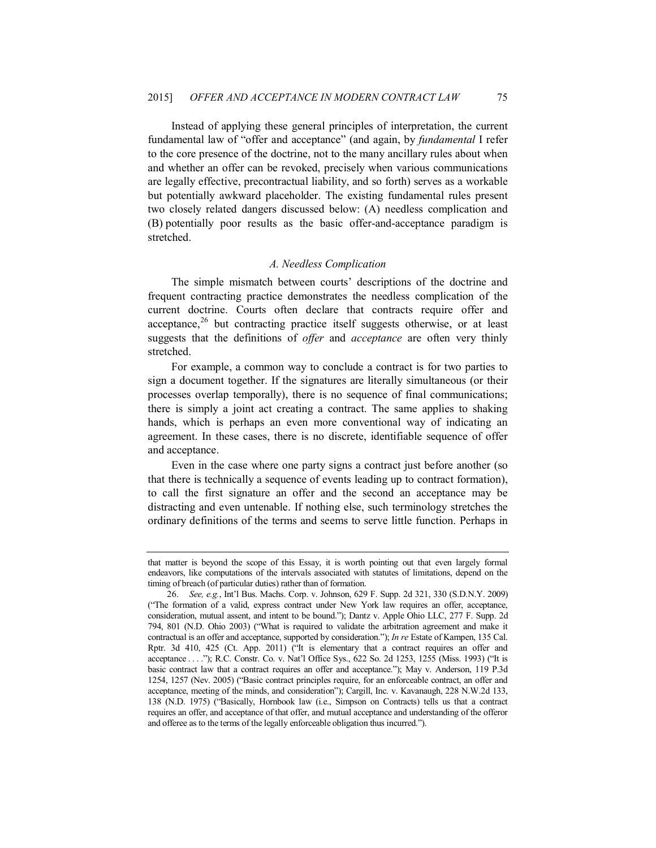Instead of applying these general principles of interpretation, the current fundamental law of "offer and acceptance" (and again, by *fundamental* I refer to the core presence of the doctrine, not to the many ancillary rules about when and whether an offer can be revoked, precisely when various communications are legally effective, precontractual liability, and so forth) serves as a workable but potentially awkward placeholder. The existing fundamental rules present two closely related dangers discussed below: (A) needless complication and (B) potentially poor results as the basic offer-and-acceptance paradigm is stretched.

## *A. Needless Complication*

The simple mismatch between courts' descriptions of the doctrine and frequent contracting practice demonstrates the needless complication of the current doctrine. Courts often declare that contracts require offer and acceptance, $26$  but contracting practice itself suggests otherwise, or at least suggests that the definitions of *offer* and *acceptance* are often very thinly stretched.

For example, a common way to conclude a contract is for two parties to sign a document together. If the signatures are literally simultaneous (or their processes overlap temporally), there is no sequence of final communications; there is simply a joint act creating a contract. The same applies to shaking hands, which is perhaps an even more conventional way of indicating an agreement. In these cases, there is no discrete, identifiable sequence of offer and acceptance.

Even in the case where one party signs a contract just before another (so that there is technically a sequence of events leading up to contract formation), to call the first signature an offer and the second an acceptance may be distracting and even untenable. If nothing else, such terminology stretches the ordinary definitions of the terms and seems to serve little function. Perhaps in

that matter is beyond the scope of this Essay, it is worth pointing out that even largely formal endeavors, like computations of the intervals associated with statutes of limitations, depend on the timing of breach (of particular duties) rather than of formation.

<span id="page-9-0"></span><sup>26.</sup> *See, e.g.*, Int'l Bus. Machs. Corp. v. Johnson, 629 F. Supp. 2d 321, 330 (S.D.N.Y. 2009) ("The formation of a valid, express contract under New York law requires an offer, acceptance, consideration, mutual assent, and intent to be bound."); Dantz v. Apple Ohio LLC, 277 F. Supp. 2d 794, 801 (N.D. Ohio 2003) ("What is required to validate the arbitration agreement and make it contractual is an offer and acceptance, supported by consideration."); *In re* Estate of Kampen, 135 Cal. Rptr. 3d 410, 425 (Ct. App. 2011) ("It is elementary that a contract requires an offer and acceptance . . . ."); R.C. Constr. Co. v. Nat'l Office Sys., 622 So. 2d 1253, 1255 (Miss. 1993) ("It is basic contract law that a contract requires an offer and acceptance."); May v. Anderson, 119 P.3d 1254, 1257 (Nev. 2005) ("Basic contract principles require, for an enforceable contract, an offer and acceptance, meeting of the minds, and consideration"); Cargill, Inc. v. Kavanaugh, 228 N.W.2d 133, 138 (N.D. 1975) ("Basically, Hornbook law (i.e., Simpson on Contracts) tells us that a contract requires an offer, and acceptance of that offer, and mutual acceptance and understanding of the offeror and offeree as to the terms of the legally enforceable obligation thus incurred.").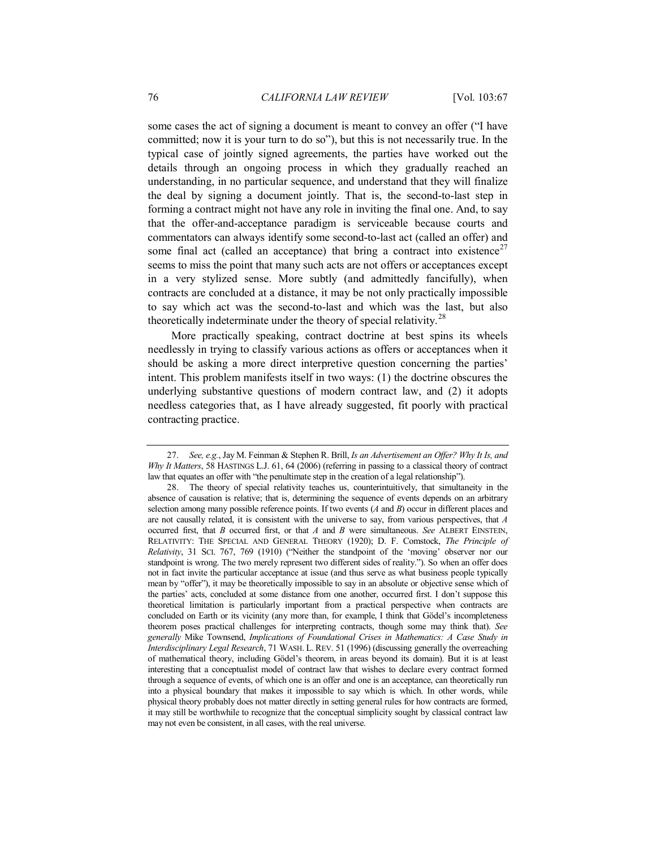some cases the act of signing a document is meant to convey an offer ("I have committed; now it is your turn to do so"), but this is not necessarily true. In the typical case of jointly signed agreements, the parties have worked out the details through an ongoing process in which they gradually reached an understanding, in no particular sequence, and understand that they will finalize the deal by signing a document jointly. That is, the second-to-last step in forming a contract might not have any role in inviting the final one. And, to say that the offer-and-acceptance paradigm is serviceable because courts and commentators can always identify some second-to-last act (called an offer) and some final act (called an acceptance) that bring a contract into existence<sup>[27](#page-10-0)</sup> seems to miss the point that many such acts are not offers or acceptances except in a very stylized sense. More subtly (and admittedly fancifully), when contracts are concluded at a distance, it may be not only practically impossible to say which act was the second-to-last and which was the last, but also theoretically indeterminate under the theory of special relativity.<sup>[28](#page-10-1)</sup>

More practically speaking, contract doctrine at best spins its wheels needlessly in trying to classify various actions as offers or acceptances when it should be asking a more direct interpretive question concerning the parties' intent. This problem manifests itself in two ways: (1) the doctrine obscures the underlying substantive questions of modern contract law, and (2) it adopts needless categories that, as I have already suggested, fit poorly with practical contracting practice.

<span id="page-10-0"></span><sup>27.</sup> *See, e.g.*, Jay M. Feinman & Stephen R. Brill, *Is an Advertisement an Offer? Why It Is, and Why It Matters*, 58 HASTINGS L.J. 61, 64 (2006) (referring in passing to a classical theory of contract law that equates an offer with "the penultimate step in the creation of a legal relationship").

<span id="page-10-1"></span><sup>28.</sup> The theory of special relativity teaches us, counterintuitively, that simultaneity in the absence of causation is relative; that is, determining the sequence of events depends on an arbitrary selection among many possible reference points. If two events (*A* and *B*) occur in different places and are not causally related, it is consistent with the universe to say, from various perspectives, that *A* occurred first, that *B* occurred first, or that *A* and *B* were simultaneous. *See* ALBERT EINSTEIN, RELATIVITY: THE SPECIAL AND GENERAL THEORY (1920); D. F. Comstock, *The Principle of Relativity*, 31 SCI. 767, 769 (1910) ("Neither the standpoint of the 'moving' observer nor our standpoint is wrong. The two merely represent two different sides of reality."). So when an offer does not in fact invite the particular acceptance at issue (and thus serve as what business people typically mean by "offer"), it may be theoretically impossible to say in an absolute or objective sense which of the parties' acts, concluded at some distance from one another, occurred first. I don't suppose this theoretical limitation is particularly important from a practical perspective when contracts are concluded on Earth or its vicinity (any more than, for example, I think that Gödel's incompleteness theorem poses practical challenges for interpreting contracts, though some may think that). *See generally* Mike Townsend, *Implications of Foundational Crises in Mathematics: A Case Study in Interdisciplinary Legal Research*, 71 WASH. L. REV. 51 (1996) (discussing generally the overreaching of mathematical theory, including Gödel's theorem, in areas beyond its domain). But it is at least interesting that a conceptualist model of contract law that wishes to declare every contract formed through a sequence of events, of which one is an offer and one is an acceptance, can theoretically run into a physical boundary that makes it impossible to say which is which. In other words, while physical theory probably does not matter directly in setting general rules for how contracts are formed, it may still be worthwhile to recognize that the conceptual simplicity sought by classical contract law may not even be consistent, in all cases, with the real universe.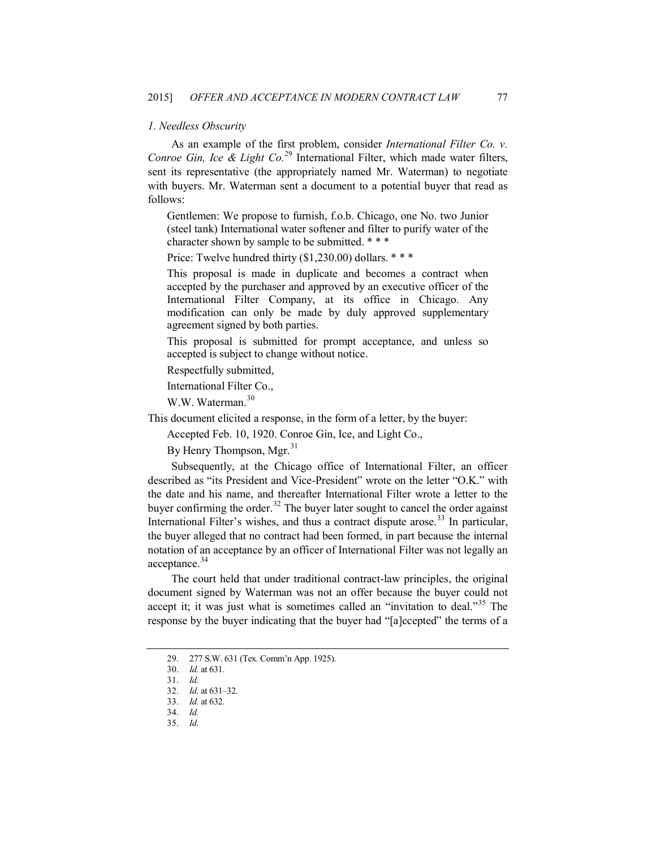## *1. Needless Obscurity*

As an example of the first problem, consider *International Filter Co. v. Conroe Gin, Ice & Light Co.*[29](#page-11-0) International Filter, which made water filters, sent its representative (the appropriately named Mr. Waterman) to negotiate with buyers. Mr. Waterman sent a document to a potential buyer that read as follows:

Gentlemen: We propose to furnish, f.o.b. Chicago, one No. two Junior (steel tank) International water softener and filter to purify water of the character shown by sample to be submitted. \* \* \*

Price: Twelve hundred thirty (\$1,230.00) dollars. \* \* \*

This proposal is made in duplicate and becomes a contract when accepted by the purchaser and approved by an executive officer of the International Filter Company, at its office in Chicago. Any modification can only be made by duly approved supplementary agreement signed by both parties.

This proposal is submitted for prompt acceptance, and unless so accepted is subject to change without notice.

Respectfully submitted,

International Filter Co.,

W.W. Waterman.<sup>[30](#page-11-1)</sup>

This document elicited a response, in the form of a letter, by the buyer:

Accepted Feb. 10, 1920. Conroe Gin, Ice, and Light Co.,

By Henry Thompson, Mgr. $31$ 

Subsequently, at the Chicago office of International Filter, an officer described as "its President and Vice-President" wrote on the letter "O.K." with the date and his name, and thereafter International Filter wrote a letter to the buyer confirming the order.<sup>[32](#page-11-3)</sup> The buyer later sought to cancel the order against International Filter's wishes, and thus a contract dispute arose.<sup>[33](#page-11-4)</sup> In particular, the buyer alleged that no contract had been formed, in part because the internal notation of an acceptance by an officer of International Filter was not legally an acceptance.<sup>[34](#page-11-5)</sup>

The court held that under traditional contract-law principles, the original document signed by Waterman was not an offer because the buyer could not accept it; it was just what is sometimes called an "invitation to deal."<sup>[35](#page-11-6)</sup> The response by the buyer indicating that the buyer had "[a]ccepted" the terms of a

<sup>29.</sup> 277 S.W. 631 (Tex. Comm'n App. 1925).

<span id="page-11-2"></span><span id="page-11-1"></span><span id="page-11-0"></span><sup>30.</sup> *Id.* at 631.

<sup>31.</sup> *Id.*

<span id="page-11-3"></span><sup>32.</sup> *Id.* at 631–32.

<span id="page-11-6"></span><span id="page-11-5"></span><span id="page-11-4"></span><sup>33.</sup> *Id.* at 632.

<sup>34.</sup> *Id.*

<sup>35.</sup> *Id.*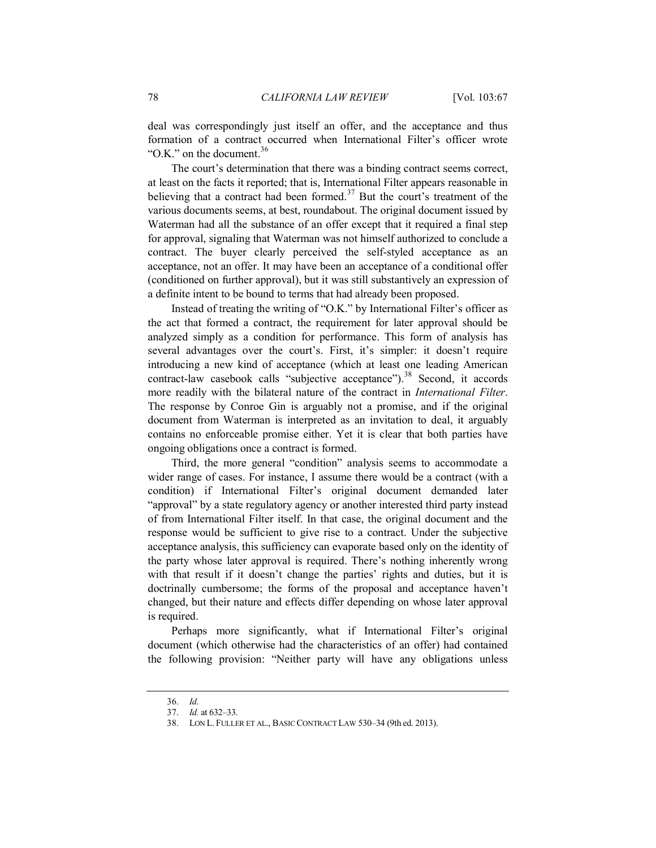deal was correspondingly just itself an offer, and the acceptance and thus formation of a contract occurred when International Filter's officer wrote "O.K." on the document.[36](#page-12-0)

The court's determination that there was a binding contract seems correct, at least on the facts it reported; that is, International Filter appears reasonable in believing that a contract had been formed.<sup>[37](#page-12-1)</sup> But the court's treatment of the various documents seems, at best, roundabout. The original document issued by Waterman had all the substance of an offer except that it required a final step for approval, signaling that Waterman was not himself authorized to conclude a contract. The buyer clearly perceived the self-styled acceptance as an acceptance, not an offer. It may have been an acceptance of a conditional offer (conditioned on further approval), but it was still substantively an expression of a definite intent to be bound to terms that had already been proposed.

Instead of treating the writing of "O.K." by International Filter's officer as the act that formed a contract, the requirement for later approval should be analyzed simply as a condition for performance. This form of analysis has several advantages over the court's. First, it's simpler: it doesn't require introducing a new kind of acceptance (which at least one leading American contract-law casebook calls "subjective acceptance").<sup>[38](#page-12-2)</sup> Second, it accords more readily with the bilateral nature of the contract in *International Filter*. The response by Conroe Gin is arguably not a promise, and if the original document from Waterman is interpreted as an invitation to deal, it arguably contains no enforceable promise either. Yet it is clear that both parties have ongoing obligations once a contract is formed.

Third, the more general "condition" analysis seems to accommodate a wider range of cases. For instance, I assume there would be a contract (with a condition) if International Filter's original document demanded later "approval" by a state regulatory agency or another interested third party instead of from International Filter itself. In that case, the original document and the response would be sufficient to give rise to a contract. Under the subjective acceptance analysis, this sufficiency can evaporate based only on the identity of the party whose later approval is required. There's nothing inherently wrong with that result if it doesn't change the parties' rights and duties, but it is doctrinally cumbersome; the forms of the proposal and acceptance haven't changed, but their nature and effects differ depending on whose later approval is required.

<span id="page-12-0"></span>Perhaps more significantly, what if International Filter's original document (which otherwise had the characteristics of an offer) had contained the following provision: "Neither party will have any obligations unless

<span id="page-12-2"></span><span id="page-12-1"></span><sup>36.</sup> *Id*.

<sup>37.</sup> *Id.* at 632–33.

<sup>38.</sup> LON L. FULLER ET AL., BASIC CONTRACT LAW 530–34 (9th ed. 2013).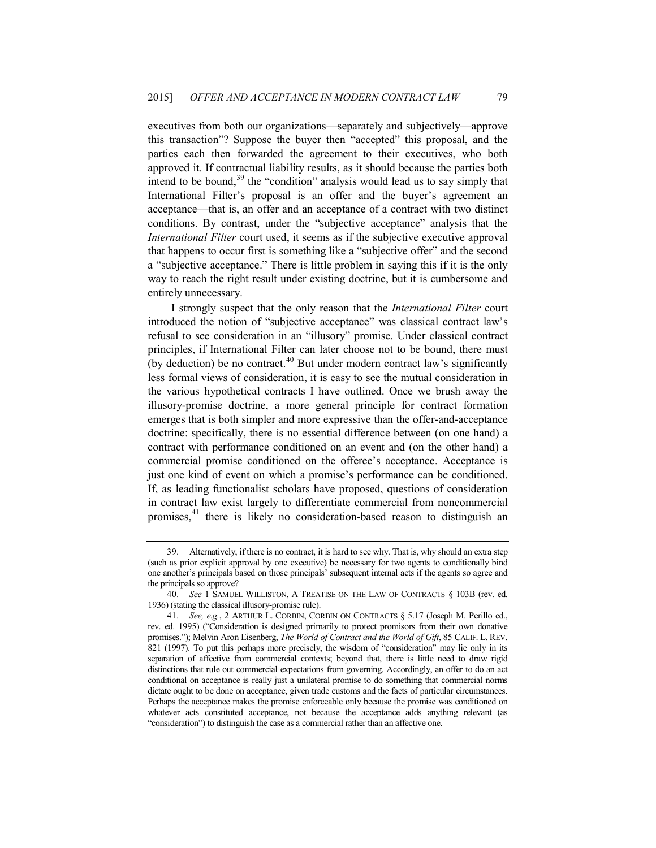executives from both our organizations—separately and subjectively—approve this transaction"? Suppose the buyer then "accepted" this proposal, and the parties each then forwarded the agreement to their executives, who both approved it. If contractual liability results, as it should because the parties both intend to be bound,  $39$  the "condition" analysis would lead us to say simply that International Filter's proposal is an offer and the buyer's agreement an acceptance—that is, an offer and an acceptance of a contract with two distinct conditions. By contrast, under the "subjective acceptance" analysis that the *International Filter* court used, it seems as if the subjective executive approval that happens to occur first is something like a "subjective offer" and the second a "subjective acceptance." There is little problem in saying this if it is the only way to reach the right result under existing doctrine, but it is cumbersome and entirely unnecessary.

I strongly suspect that the only reason that the *International Filter* court introduced the notion of "subjective acceptance" was classical contract law's refusal to see consideration in an "illusory" promise. Under classical contract principles, if International Filter can later choose not to be bound, there must (by deduction) be no contract.<sup>[40](#page-13-1)</sup> But under modern contract law's significantly less formal views of consideration, it is easy to see the mutual consideration in the various hypothetical contracts I have outlined. Once we brush away the illusory-promise doctrine, a more general principle for contract formation emerges that is both simpler and more expressive than the offer-and-acceptance doctrine: specifically, there is no essential difference between (on one hand) a contract with performance conditioned on an event and (on the other hand) a commercial promise conditioned on the offeree's acceptance. Acceptance is just one kind of event on which a promise's performance can be conditioned. If, as leading functionalist scholars have proposed, questions of consideration in contract law exist largely to differentiate commercial from noncommercial promises,<sup>[41](#page-13-2)</sup> there is likely no consideration-based reason to distinguish an

<span id="page-13-0"></span><sup>39.</sup> Alternatively, if there is no contract, it is hard to see why. That is, why should an extra step (such as prior explicit approval by one executive) be necessary for two agents to conditionally bind one another's principals based on those principals' subsequent internal acts if the agents so agree and the principals so approve?

<span id="page-13-1"></span><sup>40.</sup> *See* 1 SAMUEL WILLISTON, A TREATISE ON THE LAW OF CONTRACTS § 103B (rev. ed. 1936) (stating the classical illusory-promise rule).

<span id="page-13-2"></span><sup>41.</sup> *See, e.g.*, 2 ARTHUR L. CORBIN, CORBIN ON CONTRACTS § 5.17 (Joseph M. Perillo ed., rev. ed. 1995) ("Consideration is designed primarily to protect promisors from their own donative promises."); Melvin Aron Eisenberg, *The World of Contract and the World of Gift*, 85 CALIF. L. REV. 821 (1997). To put this perhaps more precisely, the wisdom of "consideration" may lie only in its separation of affective from commercial contexts; beyond that, there is little need to draw rigid distinctions that rule out commercial expectations from governing. Accordingly, an offer to do an act conditional on acceptance is really just a unilateral promise to do something that commercial norms dictate ought to be done on acceptance, given trade customs and the facts of particular circumstances. Perhaps the acceptance makes the promise enforceable only because the promise was conditioned on whatever acts constituted acceptance, not because the acceptance adds anything relevant (as "consideration") to distinguish the case as a commercial rather than an affective one.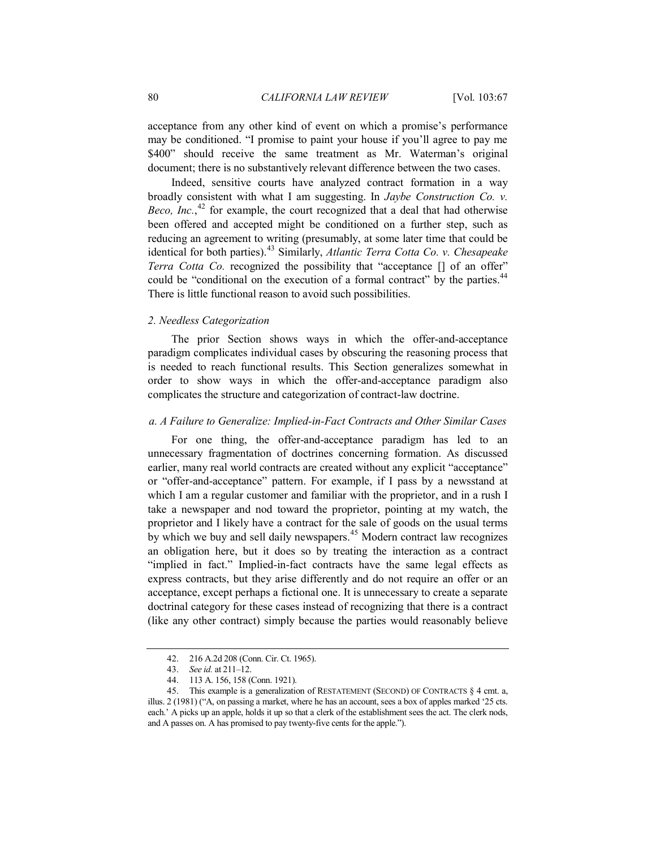80 *CALIFORNIA LAW REVIEW* [Vol. 103:67

acceptance from any other kind of event on which a promise's performance may be conditioned. "I promise to paint your house if you'll agree to pay me \$400" should receive the same treatment as Mr. Waterman's original document; there is no substantively relevant difference between the two cases.

Indeed, sensitive courts have analyzed contract formation in a way broadly consistent with what I am suggesting. In *Jaybe Construction Co. v.*  Beco, Inc.,<sup>[42](#page-14-0)</sup> for example, the court recognized that a deal that had otherwise been offered and accepted might be conditioned on a further step, such as reducing an agreement to writing (presumably, at some later time that could be identical for both parties).<sup>[43](#page-14-1)</sup> Similarly, *Atlantic Terra Cotta Co. v. Chesapeake Terra Cotta Co.* recognized the possibility that "acceptance [] of an offer" could be "conditional on the execution of a formal contract" by the parties.<sup>[44](#page-14-2)</sup> There is little functional reason to avoid such possibilities.

#### *2. Needless Categorization*

The prior Section shows ways in which the offer-and-acceptance paradigm complicates individual cases by obscuring the reasoning process that is needed to reach functional results. This Section generalizes somewhat in order to show ways in which the offer-and-acceptance paradigm also complicates the structure and categorization of contract-law doctrine.

#### *a. A Failure to Generalize: Implied-in-Fact Contracts and Other Similar Cases*

For one thing, the offer-and-acceptance paradigm has led to an unnecessary fragmentation of doctrines concerning formation. As discussed earlier, many real world contracts are created without any explicit "acceptance" or "offer-and-acceptance" pattern. For example, if I pass by a newsstand at which I am a regular customer and familiar with the proprietor, and in a rush I take a newspaper and nod toward the proprietor, pointing at my watch, the proprietor and I likely have a contract for the sale of goods on the usual terms by which we buy and sell daily newspapers.<sup>[45](#page-14-3)</sup> Modern contract law recognizes an obligation here, but it does so by treating the interaction as a contract "implied in fact." Implied-in-fact contracts have the same legal effects as express contracts, but they arise differently and do not require an offer or an acceptance, except perhaps a fictional one. It is unnecessary to create a separate doctrinal category for these cases instead of recognizing that there is a contract (like any other contract) simply because the parties would reasonably believe

<sup>42.</sup> 216 A.2d 208 (Conn. Cir. Ct. 1965).

<sup>43.</sup> *See id.* at 211–12.

<sup>44.</sup> 113 A. 156, 158 (Conn. 1921).

<span id="page-14-3"></span><span id="page-14-2"></span><span id="page-14-1"></span><span id="page-14-0"></span><sup>45.</sup> This example is a generalization of RESTATEMENT (SECOND) OF CONTRACTS § 4 cmt. a, illus. 2 (1981) ("A, on passing a market, where he has an account, sees a box of apples marked '25 cts. each.' A picks up an apple, holds it up so that a clerk of the establishment sees the act. The clerk nods, and A passes on. A has promised to pay twenty-five cents for the apple.").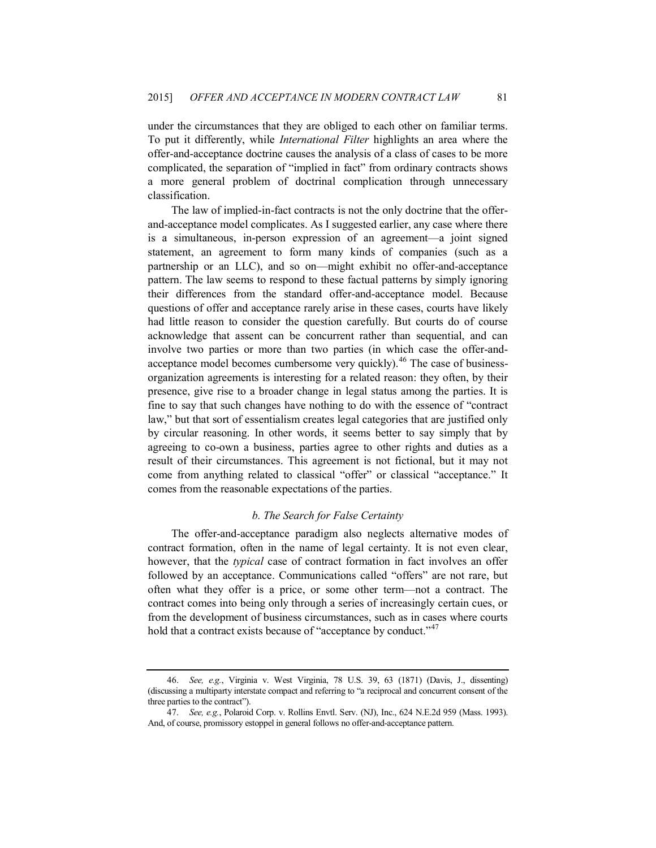under the circumstances that they are obliged to each other on familiar terms. To put it differently, while *International Filter* highlights an area where the offer-and-acceptance doctrine causes the analysis of a class of cases to be more complicated, the separation of "implied in fact" from ordinary contracts shows a more general problem of doctrinal complication through unnecessary classification.

The law of implied-in-fact contracts is not the only doctrine that the offerand-acceptance model complicates. As I suggested earlier, any case where there is a simultaneous, in-person expression of an agreement—a joint signed statement, an agreement to form many kinds of companies (such as a partnership or an LLC), and so on—might exhibit no offer-and-acceptance pattern. The law seems to respond to these factual patterns by simply ignoring their differences from the standard offer-and-acceptance model. Because questions of offer and acceptance rarely arise in these cases, courts have likely had little reason to consider the question carefully. But courts do of course acknowledge that assent can be concurrent rather than sequential, and can involve two parties or more than two parties (in which case the offer-andacceptance model becomes cumbersome very quickly). $46$  The case of businessorganization agreements is interesting for a related reason: they often, by their presence, give rise to a broader change in legal status among the parties. It is fine to say that such changes have nothing to do with the essence of "contract law," but that sort of essentialism creates legal categories that are justified only by circular reasoning. In other words, it seems better to say simply that by agreeing to co-own a business, parties agree to other rights and duties as a result of their circumstances. This agreement is not fictional, but it may not come from anything related to classical "offer" or classical "acceptance." It comes from the reasonable expectations of the parties.

### *b. The Search for False Certainty*

The offer-and-acceptance paradigm also neglects alternative modes of contract formation, often in the name of legal certainty. It is not even clear, however, that the *typical* case of contract formation in fact involves an offer followed by an acceptance. Communications called "offers" are not rare, but often what they offer is a price, or some other term—not a contract. The contract comes into being only through a series of increasingly certain cues, or from the development of business circumstances, such as in cases where courts hold that a contract exists because of "acceptance by conduct."<sup>[47](#page-15-1)</sup>

<span id="page-15-0"></span><sup>46.</sup> *See, e.g.*, Virginia v. West Virginia, 78 U.S. 39, 63 (1871) (Davis, J., dissenting) (discussing a multiparty interstate compact and referring to "a reciprocal and concurrent consent of the three parties to the contract").

<span id="page-15-1"></span><sup>47.</sup> *See, e.g.*, Polaroid Corp. v. Rollins Envtl. Serv. (NJ), Inc., 624 N.E.2d 959 (Mass. 1993). And, of course, promissory estoppel in general follows no offer-and-acceptance pattern.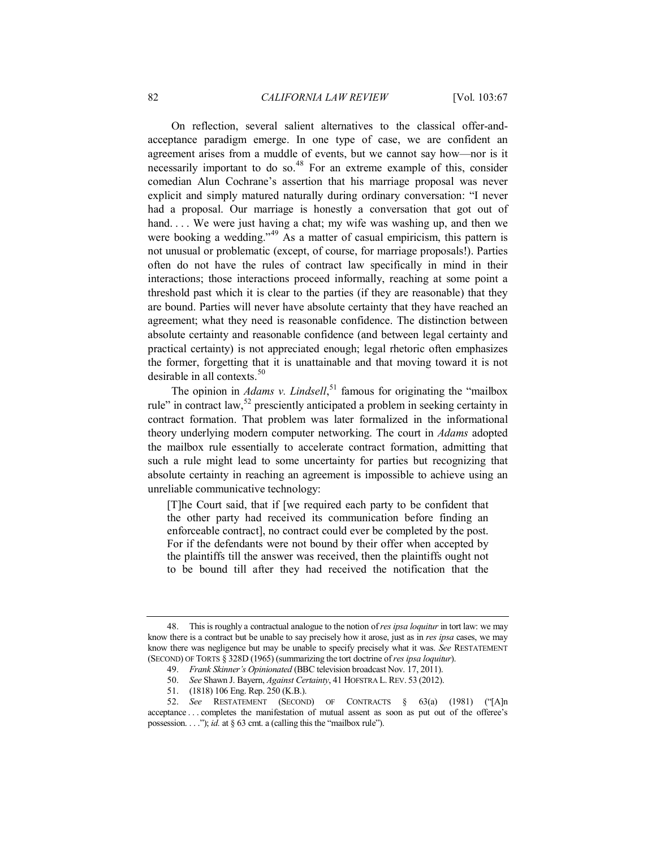On reflection, several salient alternatives to the classical offer-andacceptance paradigm emerge. In one type of case, we are confident an agreement arises from a muddle of events, but we cannot say how—nor is it necessarily important to do so.<sup>[48](#page-16-0)</sup> For an extreme example of this, consider comedian Alun Cochrane's assertion that his marriage proposal was never explicit and simply matured naturally during ordinary conversation: "I never had a proposal. Our marriage is honestly a conversation that got out of hand.... We were just having a chat; my wife was washing up, and then we were booking a wedding."<sup>[49](#page-16-1)</sup> As a matter of casual empiricism, this pattern is not unusual or problematic (except, of course, for marriage proposals!). Parties often do not have the rules of contract law specifically in mind in their interactions; those interactions proceed informally, reaching at some point a threshold past which it is clear to the parties (if they are reasonable) that they are bound. Parties will never have absolute certainty that they have reached an agreement; what they need is reasonable confidence. The distinction between absolute certainty and reasonable confidence (and between legal certainty and practical certainty) is not appreciated enough; legal rhetoric often emphasizes the former, forgetting that it is unattainable and that moving toward it is not desirable in all contexts. $50$ 

<span id="page-16-5"></span>The opinion in *Adams v. Lindsell*,<sup>[51](#page-16-3)</sup> famous for originating the "mailbox" rule" in contract law, $5<sup>2</sup>$  presciently anticipated a problem in seeking certainty in contract formation. That problem was later formalized in the informational theory underlying modern computer networking. The court in *Adams* adopted the mailbox rule essentially to accelerate contract formation, admitting that such a rule might lead to some uncertainty for parties but recognizing that absolute certainty in reaching an agreement is impossible to achieve using an unreliable communicative technology:

[T]he Court said, that if [we required each party to be confident that the other party had received its communication before finding an enforceable contract], no contract could ever be completed by the post. For if the defendants were not bound by their offer when accepted by the plaintiffs till the answer was received, then the plaintiffs ought not to be bound till after they had received the notification that the

<span id="page-16-0"></span><sup>48.</sup> This is roughly a contractual analogue to the notion of *res ipsa loquitur* in tort law: we may know there is a contract but be unable to say precisely how it arose, just as in *res ipsa* cases, we may know there was negligence but may be unable to specify precisely what it was. *See* RESTATEMENT (SECOND) OF TORTS § 328D (1965) (summarizing the tort doctrine of *res ipsa loquitur*).

<sup>49.</sup> *Frank Skinner's Opinionated* (BBC television broadcast Nov. 17, 2011).

<sup>50.</sup> *See* Shawn J. Bayern, *Against Certainty*, 41 HOFSTRA L. REV. 53 (2012).

<sup>51.</sup> (1818) 106 Eng. Rep. 250 (K.B.).

<span id="page-16-4"></span><span id="page-16-3"></span><span id="page-16-2"></span><span id="page-16-1"></span><sup>52.</sup> *See* RESTATEMENT (SECOND) OF CONTRACTS § 63(a) (1981) ("[A]n acceptance . . . completes the manifestation of mutual assent as soon as put out of the offeree's possession. . . ."); *id.* at § 63 cmt. a (calling this the "mailbox rule").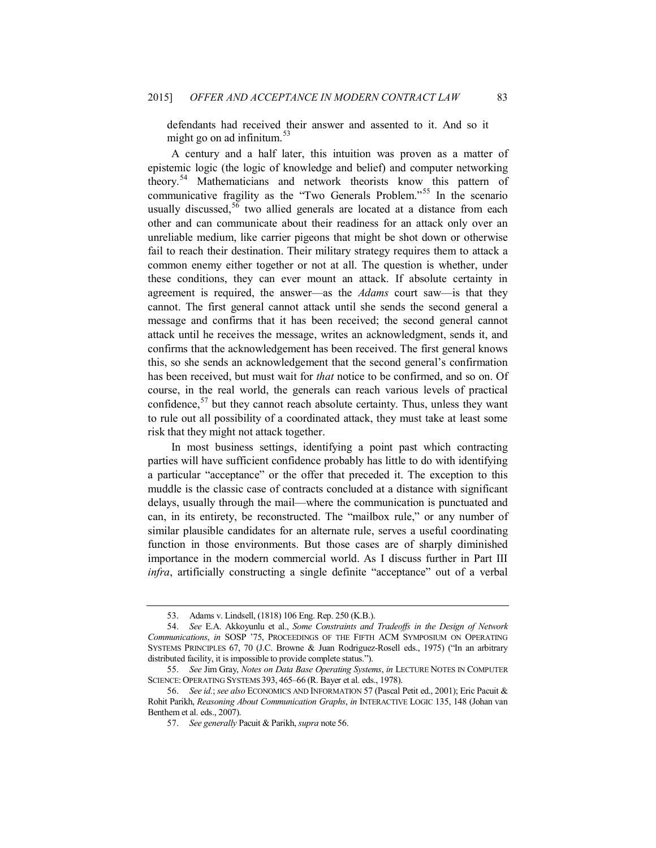defendants had received their answer and assented to it. And so it might go on ad infinitum. $53$ 

<span id="page-17-0"></span>A century and a half later, this intuition was proven as a matter of epistemic logic (the logic of knowledge and belief) and computer networking theory.[54](#page-17-2) Mathematicians and network theorists know this pattern of communicative fragility as the "Two Generals Problem."<sup>[55](#page-17-3)</sup> In the scenario usually discussed,  $56$  two allied generals are located at a distance from each other and can communicate about their readiness for an attack only over an unreliable medium, like carrier pigeons that might be shot down or otherwise fail to reach their destination. Their military strategy requires them to attack a common enemy either together or not at all. The question is whether, under these conditions, they can ever mount an attack. If absolute certainty in agreement is required, the answer—as the *Adams* court saw—is that they cannot. The first general cannot attack until she sends the second general a message and confirms that it has been received; the second general cannot attack until he receives the message, writes an acknowledgment, sends it, and confirms that the acknowledgement has been received. The first general knows this, so she sends an acknowledgement that the second general's confirmation has been received, but must wait for *that* notice to be confirmed, and so on. Of course, in the real world, the generals can reach various levels of practical confidence,  $57$  but they cannot reach absolute certainty. Thus, unless they want to rule out all possibility of a coordinated attack, they must take at least some risk that they might not attack together.

In most business settings, identifying a point past which contracting parties will have sufficient confidence probably has little to do with identifying a particular "acceptance" or the offer that preceded it. The exception to this muddle is the classic case of contracts concluded at a distance with significant delays, usually through the mail—where the communication is punctuated and can, in its entirety, be reconstructed. The "mailbox rule," or any number of similar plausible candidates for an alternate rule, serves a useful coordinating function in those environments. But those cases are of sharply diminished importance in the modern commercial world. As I discuss further in Part III *infra*, artificially constructing a single definite "acceptance" out of a verbal

<sup>53.</sup> Adams v. Lindsell, (1818) 106 Eng. Rep. 250 (K.B.).

<span id="page-17-2"></span><span id="page-17-1"></span><sup>54.</sup> *See* E.A. Akkoyunlu et al., *Some Constraints and Tradeoffs in the Design of Network Communications*, *in* SOSP '75, PROCEEDINGS OF THE FIFTH ACM SYMPOSIUM ON OPERATING SYSTEMS PRINCIPLES 67, 70 (J.C. Browne & Juan Rodriguez-Rosell eds., 1975) ("In an arbitrary distributed facility, it is impossible to provide complete status.").

<span id="page-17-3"></span><sup>55.</sup> *See* Jim Gray, *Notes on Data Base Operating Systems*, *in* LECTURE NOTES IN COMPUTER SCIENCE: OPERATING SYSTEMS 393, 465–66 (R. Bayer et al. eds., 1978).

<span id="page-17-5"></span><span id="page-17-4"></span><sup>56.</sup> *See id.*; *see also* ECONOMICS AND INFORMATION 57 (Pascal Petit ed., 2001); Eric Pacuit & Rohit Parikh, *Reasoning About Communication Graphs*, *in* INTERACTIVE LOGIC 135, 148 (Johan van Benthem et al. eds., 2007).

<sup>57.</sup> *See generally* Pacuit & Parikh, *supra* not[e 56.](#page-17-0)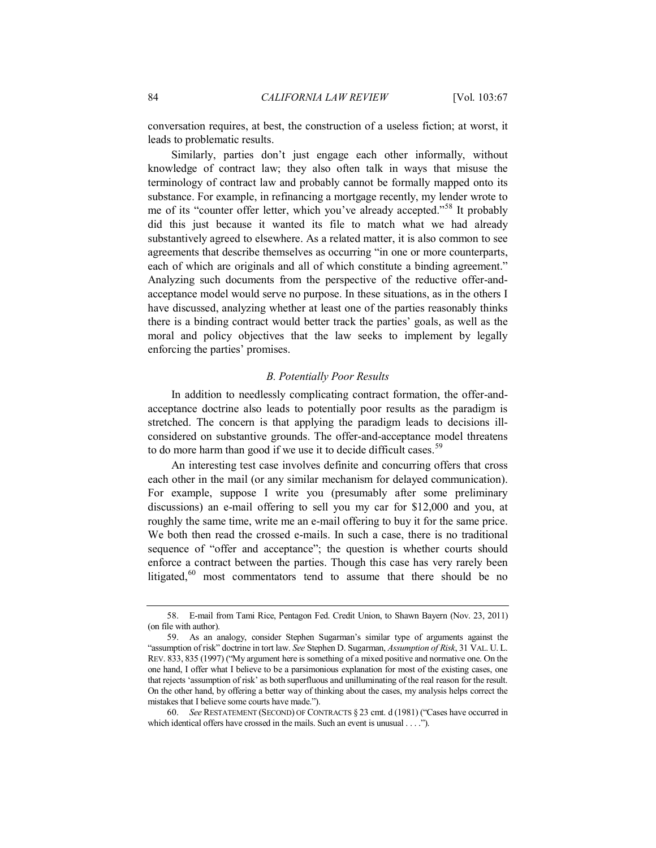conversation requires, at best, the construction of a useless fiction; at worst, it leads to problematic results.

Similarly, parties don't just engage each other informally, without knowledge of contract law; they also often talk in ways that misuse the terminology of contract law and probably cannot be formally mapped onto its substance. For example, in refinancing a mortgage recently, my lender wrote to me of its "counter offer letter, which you've already accepted."[58](#page-18-0) It probably did this just because it wanted its file to match what we had already substantively agreed to elsewhere. As a related matter, it is also common to see agreements that describe themselves as occurring "in one or more counterparts, each of which are originals and all of which constitute a binding agreement." Analyzing such documents from the perspective of the reductive offer-andacceptance model would serve no purpose. In these situations, as in the others I have discussed, analyzing whether at least one of the parties reasonably thinks there is a binding contract would better track the parties' goals, as well as the moral and policy objectives that the law seeks to implement by legally enforcing the parties' promises.

## <span id="page-18-4"></span>*B. Potentially Poor Results*

In addition to needlessly complicating contract formation, the offer-andacceptance doctrine also leads to potentially poor results as the paradigm is stretched. The concern is that applying the paradigm leads to decisions illconsidered on substantive grounds. The offer-and-acceptance model threatens to do more harm than good if we use it to decide difficult cases.<sup>[59](#page-18-1)</sup>

An interesting test case involves definite and concurring offers that cross each other in the mail (or any similar mechanism for delayed communication). For example, suppose I write you (presumably after some preliminary discussions) an e-mail offering to sell you my car for \$12,000 and you, at roughly the same time, write me an e-mail offering to buy it for the same price. We both then read the crossed e-mails. In such a case, there is no traditional sequence of "offer and acceptance"; the question is whether courts should enforce a contract between the parties. Though this case has very rarely been litigated, $60$  most commentators tend to assume that there should be no

<span id="page-18-3"></span><span id="page-18-0"></span><sup>58.</sup> E-mail from Tami Rice, Pentagon Fed. Credit Union, to Shawn Bayern (Nov. 23, 2011) (on file with author).

<span id="page-18-1"></span><sup>59.</sup> As an analogy, consider Stephen Sugarman's similar type of arguments against the "assumption of risk" doctrine in tort law. *See* Stephen D. Sugarman, *Assumption of Risk*, 31 VAL. U. L. REV. 833, 835 (1997) ("My argument here is something of a mixed positive and normative one. On the one hand, I offer what I believe to be a parsimonious explanation for most of the existing cases, one that rejects 'assumption of risk' as both superfluous and unilluminating of the real reason for the result. On the other hand, by offering a better way of thinking about the cases, my analysis helps correct the mistakes that I believe some courts have made.").

<span id="page-18-2"></span><sup>60.</sup> *See* RESTATEMENT (SECOND) OF CONTRACTS § 23 cmt. d (1981) ("Cases have occurred in which identical offers have crossed in the mails. Such an event is unusual . . . .").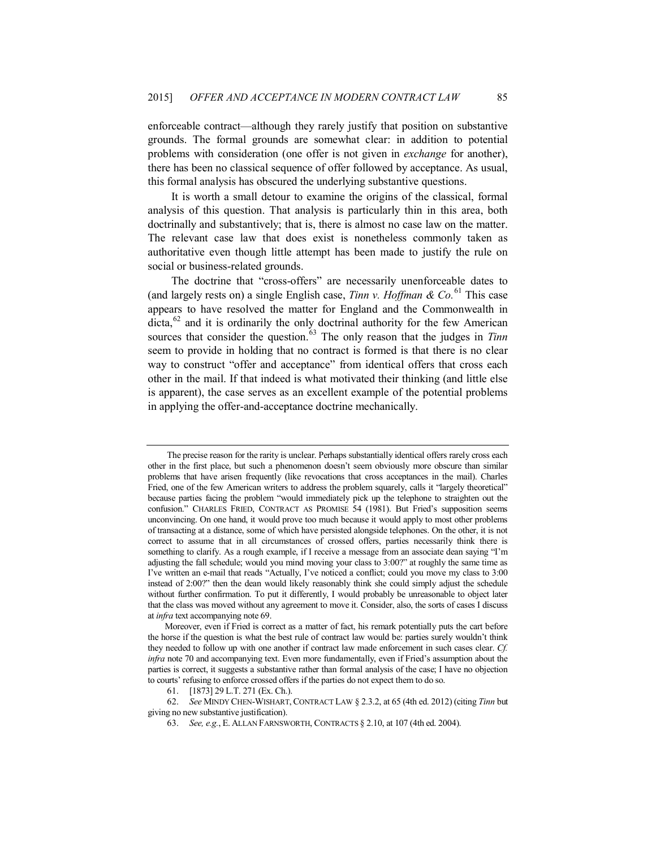enforceable contract—although they rarely justify that position on substantive grounds. The formal grounds are somewhat clear: in addition to potential problems with consideration (one offer is not given in *exchange* for another), there has been no classical sequence of offer followed by acceptance. As usual, this formal analysis has obscured the underlying substantive questions.

It is worth a small detour to examine the origins of the classical, formal analysis of this question. That analysis is particularly thin in this area, both doctrinally and substantively; that is, there is almost no case law on the matter. The relevant case law that does exist is nonetheless commonly taken as authoritative even though little attempt has been made to justify the rule on social or business-related grounds.

The doctrine that "cross-offers" are necessarily unenforceable dates to (and largely rests on) a single English case, *Tinn v. Hoffman & Co.*<sup>[61](#page-19-0)</sup> This case appears to have resolved the matter for England and the Commonwealth in  $dicta<sub>1</sub><sup>62</sup>$  $dicta<sub>1</sub><sup>62</sup>$  $dicta<sub>1</sub><sup>62</sup>$  and it is ordinarily the only doctrinal authority for the few American sources that consider the question.<sup>[63](#page-19-2)</sup> The only reason that the judges in *Tinn* seem to provide in holding that no contract is formed is that there is no clear way to construct "offer and acceptance" from identical offers that cross each other in the mail. If that indeed is what motivated their thinking (and little else is apparent), the case serves as an excellent example of the potential problems in applying the offer-and-acceptance doctrine mechanically.

The precise reason for the rarity is unclear. Perhaps substantially identical offers rarely cross each other in the first place, but such a phenomenon doesn't seem obviously more obscure than similar problems that have arisen frequently (like revocations that cross acceptances in the mail). Charles Fried, one of the few American writers to address the problem squarely, calls it "largely theoretical" because parties facing the problem "would immediately pick up the telephone to straighten out the confusion." CHARLES FRIED, CONTRACT AS PROMISE 54 (1981). But Fried's supposition seems unconvincing. On one hand, it would prove too much because it would apply to most other problems of transacting at a distance, some of which have persisted alongside telephones. On the other, it is not correct to assume that in all circumstances of crossed offers, parties necessarily think there is something to clarify. As a rough example, if I receive a message from an associate dean saying "I'm adjusting the fall schedule; would you mind moving your class to 3:00?" at roughly the same time as I've written an e-mail that reads "Actually, I've noticed a conflict; could you move my class to 3:00 instead of 2:00?" then the dean would likely reasonably think she could simply adjust the schedule without further confirmation. To put it differently, I would probably be unreasonable to object later that the class was moved without any agreement to move it. Consider, also, the sorts of cases I discuss at *infra* text accompanying not[e 69.](#page-21-0)

Moreover, even if Fried is correct as a matter of fact, his remark potentially puts the cart before the horse if the question is what the best rule of contract law would be: parties surely wouldn't think they needed to follow up with one another if contract law made enforcement in such cases clear. *Cf. infra* note 70 and accompanying text. Even more fundamentally, even if Fried's assumption about the parties is correct, it suggests a substantive rather than formal analysis of the case; I have no objection to courts' refusing to enforce crossed offers if the parties do not expect them to do so.

<sup>61.</sup> [1873] 29 L.T. 271 (Ex. Ch.).

<span id="page-19-2"></span><span id="page-19-1"></span><span id="page-19-0"></span><sup>62.</sup> *See* MINDY CHEN-WISHART, CONTRACT LAW § 2.3.2, at 65 (4th ed. 2012) (citing *Tinn* but giving no new substantive justification).

<sup>63.</sup> *See, e.g.*, E. ALLAN FARNSWORTH, CONTRACTS § 2.10, at 107 (4th ed. 2004).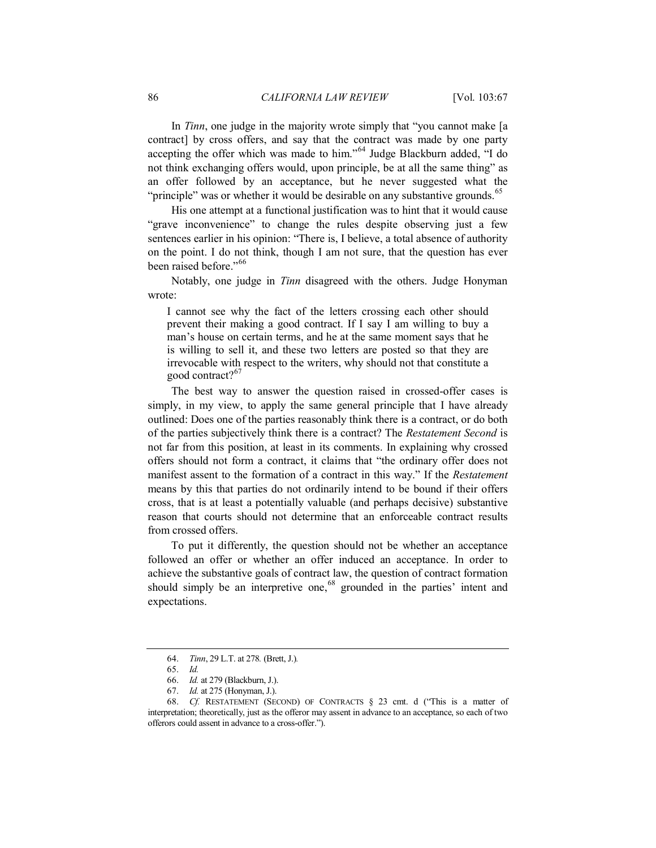In *Tinn*, one judge in the majority wrote simply that "you cannot make [a contract] by cross offers, and say that the contract was made by one party accepting the offer which was made to him."[64](#page-20-0) Judge Blackburn added, "I do not think exchanging offers would, upon principle, be at all the same thing" as an offer followed by an acceptance, but he never suggested what the "principle" was or whether it would be desirable on any substantive grounds.<sup>[65](#page-20-1)</sup>

His one attempt at a functional justification was to hint that it would cause "grave inconvenience" to change the rules despite observing just a few sentences earlier in his opinion: "There is, I believe, a total absence of authority on the point. I do not think, though I am not sure, that the question has ever been raised before."<sup>[66](#page-20-2)</sup>

Notably, one judge in *Tinn* disagreed with the others. Judge Honyman wrote:

I cannot see why the fact of the letters crossing each other should prevent their making a good contract. If I say I am willing to buy a man's house on certain terms, and he at the same moment says that he is willing to sell it, and these two letters are posted so that they are irrevocable with respect to the writers, why should not that constitute a good contract?<sup>[67](#page-20-3)</sup>

The best way to answer the question raised in crossed-offer cases is simply, in my view, to apply the same general principle that I have already outlined: Does one of the parties reasonably think there is a contract, or do both of the parties subjectively think there is a contract? The *Restatement Second* is not far from this position, at least in its comments. In explaining why crossed offers should not form a contract, it claims that "the ordinary offer does not manifest assent to the formation of a contract in this way." If the *Restatement* means by this that parties do not ordinarily intend to be bound if their offers cross, that is at least a potentially valuable (and perhaps decisive) substantive reason that courts should not determine that an enforceable contract results from crossed offers.

To put it differently, the question should not be whether an acceptance followed an offer or whether an offer induced an acceptance. In order to achieve the substantive goals of contract law, the question of contract formation should simply be an interpretive one,<sup>[68](#page-20-4)</sup> grounded in the parties' intent and expectations.

<sup>64.</sup> *Tinn*, 29 L.T. at 278*.* (Brett, J.)*.*

<sup>65.</sup> *Id.*

<sup>66.</sup> *Id.* at 279 (Blackburn, J.).

<sup>67.</sup> *Id.* at 275 (Honyman, J.).

<span id="page-20-4"></span><span id="page-20-3"></span><span id="page-20-2"></span><span id="page-20-1"></span><span id="page-20-0"></span><sup>68.</sup> *Cf.* RESTATEMENT (SECOND) OF CONTRACTS § 23 cmt. d ("This is a matter of interpretation; theoretically, just as the offeror may assent in advance to an acceptance, so each of two offerors could assent in advance to a cross-offer.").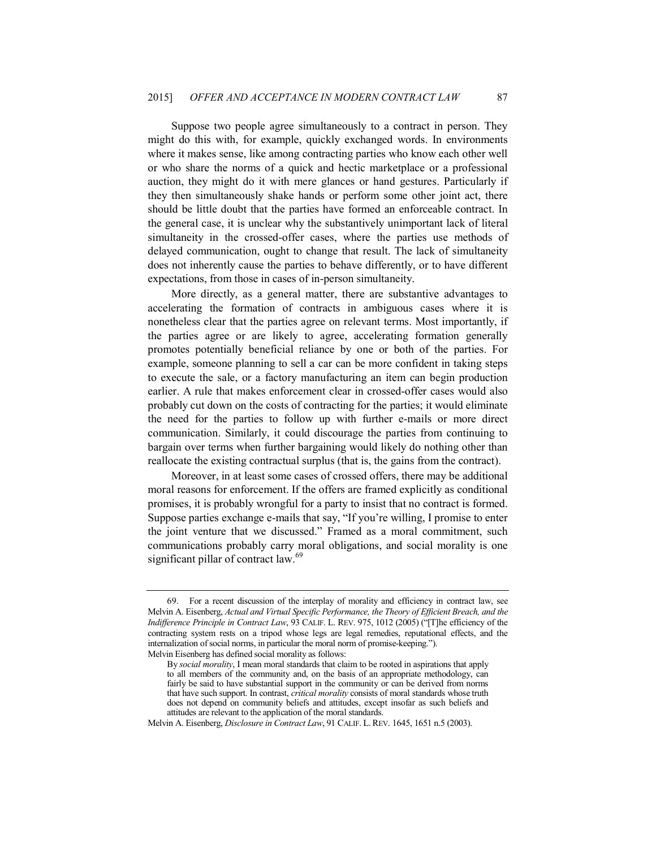Suppose two people agree simultaneously to a contract in person. They might do this with, for example, quickly exchanged words. In environments where it makes sense, like among contracting parties who know each other well or who share the norms of a quick and hectic marketplace or a professional auction, they might do it with mere glances or hand gestures. Particularly if they then simultaneously shake hands or perform some other joint act, there should be little doubt that the parties have formed an enforceable contract. In the general case, it is unclear why the substantively unimportant lack of literal simultaneity in the crossed-offer cases, where the parties use methods of delayed communication, ought to change that result. The lack of simultaneity does not inherently cause the parties to behave differently, or to have different expectations, from those in cases of in-person simultaneity.

More directly, as a general matter, there are substantive advantages to accelerating the formation of contracts in ambiguous cases where it is nonetheless clear that the parties agree on relevant terms. Most importantly, if the parties agree or are likely to agree, accelerating formation generally promotes potentially beneficial reliance by one or both of the parties. For example, someone planning to sell a car can be more confident in taking steps to execute the sale, or a factory manufacturing an item can begin production earlier. A rule that makes enforcement clear in crossed-offer cases would also probably cut down on the costs of contracting for the parties; it would eliminate the need for the parties to follow up with further e-mails or more direct communication. Similarly, it could discourage the parties from continuing to bargain over terms when further bargaining would likely do nothing other than reallocate the existing contractual surplus (that is, the gains from the contract).

Moreover, in at least some cases of crossed offers, there may be additional moral reasons for enforcement. If the offers are framed explicitly as conditional promises, it is probably wrongful for a party to insist that no contract is formed. Suppose parties exchange e-mails that say, "If you're willing, I promise to enter the joint venture that we discussed." Framed as a moral commitment, such communications probably carry moral obligations, and social morality is one significant pillar of contract law.<sup>[69](#page-21-1)</sup>

<span id="page-21-1"></span><span id="page-21-0"></span><sup>69.</sup> For a recent discussion of the interplay of morality and efficiency in contract law, see Melvin A. Eisenberg, *Actual and Virtual Specific Performance, the Theory of Efficient Breach, and the Indifference Principle in Contract Law*, 93 CALIF. L. REV. 975, 1012 (2005) ("[T]he efficiency of the contracting system rests on a tripod whose legs are legal remedies, reputational effects, and the internalization of social norms, in particular the moral norm of promise-keeping.").

Melvin Eisenberg has defined social morality as follows:

By *social morality*, I mean moral standards that claim to be rooted in aspirations that apply to all members of the community and, on the basis of an appropriate methodology, can fairly be said to have substantial support in the community or can be derived from norms that have such support. In contrast, *critical morality* consists of moral standards whose truth does not depend on community beliefs and attitudes, except insofar as such beliefs and attitudes are relevant to the application of the moral standards.

Melvin A. Eisenberg, *Disclosure in Contract Law*, 91 CALIF. L. REV. 1645, 1651 n.5 (2003).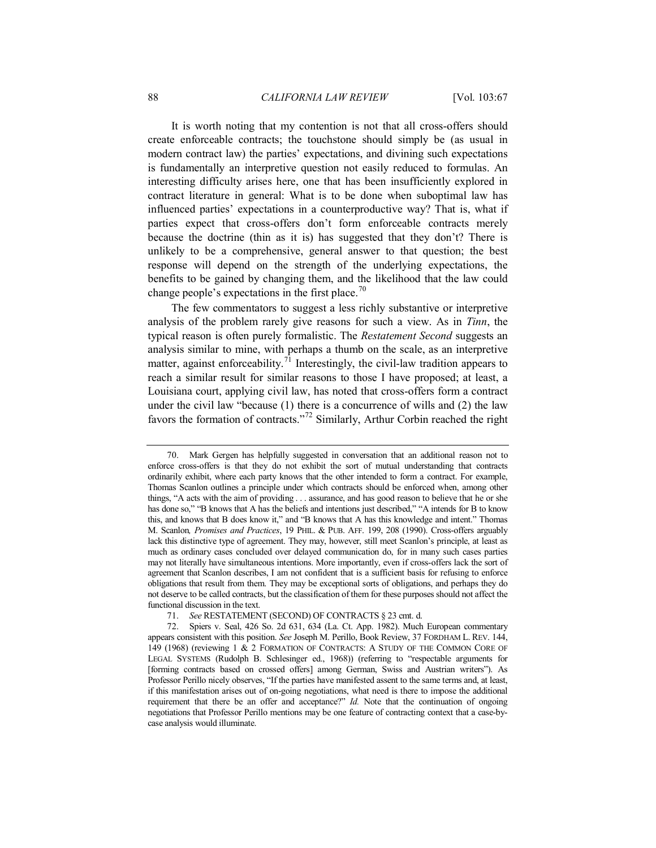It is worth noting that my contention is not that all cross-offers should create enforceable contracts; the touchstone should simply be (as usual in modern contract law) the parties' expectations, and divining such expectations is fundamentally an interpretive question not easily reduced to formulas. An interesting difficulty arises here, one that has been insufficiently explored in contract literature in general: What is to be done when suboptimal law has influenced parties' expectations in a counterproductive way? That is, what if parties expect that cross-offers don't form enforceable contracts merely because the doctrine (thin as it is) has suggested that they don't? There is unlikely to be a comprehensive, general answer to that question; the best response will depend on the strength of the underlying expectations, the benefits to be gained by changing them, and the likelihood that the law could change people's expectations in the first place.<sup>[70](#page-22-0)</sup>

The few commentators to suggest a less richly substantive or interpretive analysis of the problem rarely give reasons for such a view. As in *Tinn*, the typical reason is often purely formalistic. The *Restatement Second* suggests an analysis similar to mine, with perhaps a thumb on the scale, as an interpretive matter, against enforceability.<sup>[71](#page-22-1)</sup> Interestingly, the civil-law tradition appears to reach a similar result for similar reasons to those I have proposed; at least, a Louisiana court, applying civil law, has noted that cross-offers form a contract under the civil law "because (1) there is a concurrence of wills and (2) the law favors the formation of contracts."<sup>[72](#page-22-2)</sup> Similarly, Arthur Corbin reached the right

<span id="page-22-3"></span><span id="page-22-0"></span><sup>70.</sup> Mark Gergen has helpfully suggested in conversation that an additional reason not to enforce cross-offers is that they do not exhibit the sort of mutual understanding that contracts ordinarily exhibit, where each party knows that the other intended to form a contract. For example, Thomas Scanlon outlines a principle under which contracts should be enforced when, among other things, "A acts with the aim of providing . . . assurance, and has good reason to believe that he or she has done so," "B knows that A has the beliefs and intentions just described," "A intends for B to know this, and knows that B does know it," and "B knows that A has this knowledge and intent." Thomas M. Scanlon*, Promises and Practices*, 19 PHIL. & PUB. AFF. 199, 208 (1990). Cross-offers arguably lack this distinctive type of agreement. They may, however, still meet Scanlon's principle, at least as much as ordinary cases concluded over delayed communication do, for in many such cases parties may not literally have simultaneous intentions. More importantly, even if cross-offers lack the sort of agreement that Scanlon describes, I am not confident that is a sufficient basis for refusing to enforce obligations that result from them. They may be exceptional sorts of obligations, and perhaps they do not deserve to be called contracts, but the classification of them for these purposes should not affect the functional discussion in the text.

<sup>71.</sup> *See* RESTATEMENT (SECOND) OF CONTRACTS § 23 cmt. d.

<span id="page-22-2"></span><span id="page-22-1"></span><sup>72.</sup> Spiers v. Seal, 426 So. 2d 631, 634 (La. Ct. App. 1982). Much European commentary appears consistent with this position. *See* Joseph M. Perillo, Book Review, 37 FORDHAM L. REV. 144, 149 (1968) (reviewing 1 & 2 FORMATION OF CONTRACTS: A STUDY OF THE COMMON CORE OF LEGAL SYSTEMS (Rudolph B. Schlesinger ed., 1968)) (referring to "respectable arguments for [forming contracts based on crossed offers] among German, Swiss and Austrian writers"). As Professor Perillo nicely observes, "If the parties have manifested assent to the same terms and, at least, if this manifestation arises out of on-going negotiations, what need is there to impose the additional requirement that there be an offer and acceptance?" *Id.* Note that the continuation of ongoing negotiations that Professor Perillo mentions may be one feature of contracting context that a case-bycase analysis would illuminate.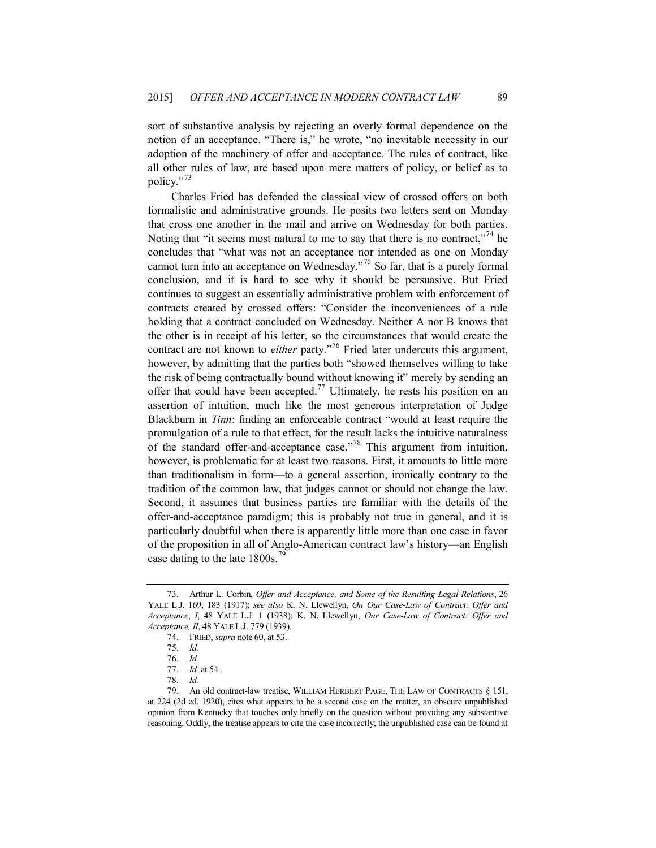sort of substantive analysis by rejecting an overly formal dependence on the notion of an acceptance. "There is," he wrote, "no inevitable necessity in our adoption of the machinery of offer and acceptance. The rules of contract, like all other rules of law, are based upon mere matters of policy, or belief as to policy."[73](#page-23-0)

Charles Fried has defended the classical view of crossed offers on both formalistic and administrative grounds. He posits two letters sent on Monday that cross one another in the mail and arrive on Wednesday for both parties. Noting that "it seems most natural to me to say that there is no contract,"<sup> $74$ </sup> he concludes that "what was not an acceptance nor intended as one on Monday cannot turn into an acceptance on Wednesday."[75](#page-23-2) So far, that is a purely formal conclusion, and it is hard to see why it should be persuasive. But Fried continues to suggest an essentially administrative problem with enforcement of contracts created by crossed offers: "Consider the inconveniences of a rule holding that a contract concluded on Wednesday. Neither A nor B knows that the other is in receipt of his letter, so the circumstances that would create the contract are not known to *either* party.<sup>"[76](#page-23-3)</sup> Fried later undercuts this argument, however, by admitting that the parties both "showed themselves willing to take the risk of being contractually bound without knowing it" merely by sending an offer that could have been accepted.<sup>[77](#page-23-4)</sup> Ultimately, he rests his position on an assertion of intuition, much like the most generous interpretation of Judge Blackburn in *Tinn*: finding an enforceable contract "would at least require the promulgation of a rule to that effect, for the result lacks the intuitive naturalness of the standard offer-and-acceptance case."<sup>[78](#page-23-5)</sup> This argument from intuition, however, is problematic for at least two reasons. First, it amounts to little more than traditionalism in form—to a general assertion, ironically contrary to the tradition of the common law, that judges cannot or should not change the law. Second, it assumes that business parties are familiar with the details of the offer-and-acceptance paradigm; this is probably not true in general, and it is particularly doubtful when there is apparently little more than one case in favor of the proposition in all of Anglo-American contract law's history—an English case dating to the late 1800s.<sup>[79](#page-23-6)</sup>

<span id="page-23-1"></span><span id="page-23-0"></span><sup>73.</sup> Arthur L. Corbin, *Offer and Acceptance, and Some of the Resulting Legal Relations*, 26 YALE L.J. 169, 183 (1917); *see also* K. N. Llewellyn, *On Our Case-Law of Contract: Offer and Acceptance*, *I*, 48 YALE L.J. 1 (1938); K. N. Llewellyn, *Our Case-Law of Contract: Offer and Acceptance, II*, 48 YALE L.J. 779 (1939).

<sup>74.</sup> FRIED, *supra* not[e 60,](#page-18-3) at 53.

<sup>75.</sup> *Id.*

<sup>76.</sup> *Id.*

<sup>77.</sup> *Id.* at 54.

<sup>78.</sup> *Id.*

<span id="page-23-6"></span><span id="page-23-5"></span><span id="page-23-4"></span><span id="page-23-3"></span><span id="page-23-2"></span><sup>79.</sup> An old contract-law treatise, WILLIAM HERBERT PAGE, THE LAW OF CONTRACTS § 151, at 224 (2d ed. 1920), cites what appears to be a second case on the matter, an obscure unpublished opinion from Kentucky that touches only briefly on the question without providing any substantive reasoning. Oddly, the treatise appears to cite the case incorrectly; the unpublished case can be found at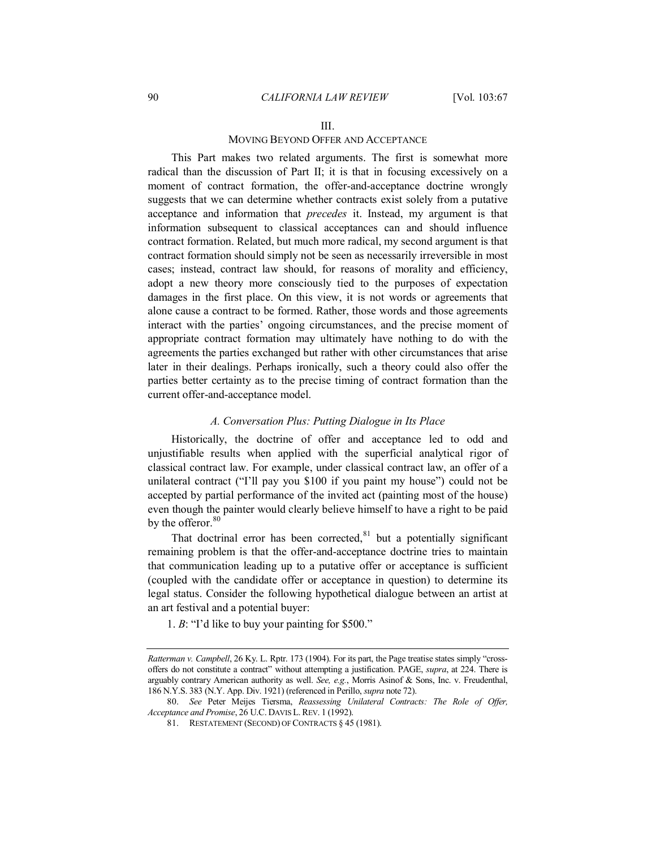### III.

## MOVING BEYOND OFFER AND ACCEPTANCE

This Part makes two related arguments. The first is somewhat more radical than the discussion of Part II; it is that in focusing excessively on a moment of contract formation, the offer-and-acceptance doctrine wrongly suggests that we can determine whether contracts exist solely from a putative acceptance and information that *precedes* it. Instead, my argument is that information subsequent to classical acceptances can and should influence contract formation. Related, but much more radical, my second argument is that contract formation should simply not be seen as necessarily irreversible in most cases; instead, contract law should, for reasons of morality and efficiency, adopt a new theory more consciously tied to the purposes of expectation damages in the first place. On this view, it is not words or agreements that alone cause a contract to be formed. Rather, those words and those agreements interact with the parties' ongoing circumstances, and the precise moment of appropriate contract formation may ultimately have nothing to do with the agreements the parties exchanged but rather with other circumstances that arise later in their dealings. Perhaps ironically, such a theory could also offer the parties better certainty as to the precise timing of contract formation than the current offer-and-acceptance model.

#### *A. Conversation Plus: Putting Dialogue in Its Place*

Historically, the doctrine of offer and acceptance led to odd and unjustifiable results when applied with the superficial analytical rigor of classical contract law. For example, under classical contract law, an offer of a unilateral contract ("I'll pay you \$100 if you paint my house") could not be accepted by partial performance of the invited act (painting most of the house) even though the painter would clearly believe himself to have a right to be paid by the offeror.<sup>[80](#page-24-0)</sup>

That doctrinal error has been corrected, $81$  but a potentially significant remaining problem is that the offer-and-acceptance doctrine tries to maintain that communication leading up to a putative offer or acceptance is sufficient (coupled with the candidate offer or acceptance in question) to determine its legal status. Consider the following hypothetical dialogue between an artist at an art festival and a potential buyer:

1. *B*: "I'd like to buy your painting for \$500."

*Ratterman v. Campbell*, 26 Ky. L. Rptr. 173 (1904). For its part, the Page treatise states simply "crossoffers do not constitute a contract" without attempting a justification. PAGE, *supra*, at 224. There is arguably contrary American authority as well. *See, e.g.*, Morris Asinof & Sons, Inc. v. Freudenthal, 186 N.Y.S. 383 (N.Y. App. Div. 1921) (referenced in Perillo, *supra* not[e 72\)](#page-22-3).

<span id="page-24-1"></span><span id="page-24-0"></span><sup>80.</sup> *See* Peter Meijes Tiersma, *Reassessing Unilateral Contracts: The Role of Offer, Acceptance and Promise*, 26 U.C. DAVIS L. REV. 1 (1992).

<sup>81.</sup> RESTATEMENT (SECOND) OF CONTRACTS § 45 (1981).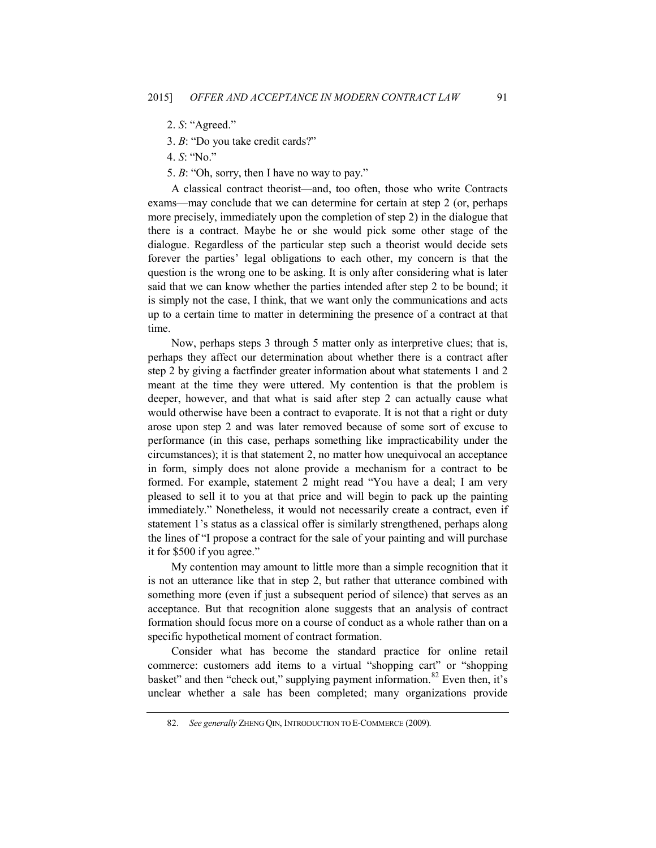2. *S*: "Agreed."

3. *B*: "Do you take credit cards?"

4. *S*: "No."

5. *B*: "Oh, sorry, then I have no way to pay."

A classical contract theorist—and, too often, those who write Contracts exams—may conclude that we can determine for certain at step 2 (or, perhaps more precisely, immediately upon the completion of step 2) in the dialogue that there is a contract. Maybe he or she would pick some other stage of the dialogue. Regardless of the particular step such a theorist would decide sets forever the parties' legal obligations to each other, my concern is that the question is the wrong one to be asking. It is only after considering what is later said that we can know whether the parties intended after step 2 to be bound; it is simply not the case, I think, that we want only the communications and acts up to a certain time to matter in determining the presence of a contract at that time.

Now, perhaps steps 3 through 5 matter only as interpretive clues; that is, perhaps they affect our determination about whether there is a contract after step 2 by giving a factfinder greater information about what statements 1 and 2 meant at the time they were uttered. My contention is that the problem is deeper, however, and that what is said after step 2 can actually cause what would otherwise have been a contract to evaporate. It is not that a right or duty arose upon step 2 and was later removed because of some sort of excuse to performance (in this case, perhaps something like impracticability under the circumstances); it is that statement 2, no matter how unequivocal an acceptance in form, simply does not alone provide a mechanism for a contract to be formed. For example, statement 2 might read "You have a deal; I am very pleased to sell it to you at that price and will begin to pack up the painting immediately." Nonetheless, it would not necessarily create a contract, even if statement 1's status as a classical offer is similarly strengthened, perhaps along the lines of "I propose a contract for the sale of your painting and will purchase it for \$500 if you agree."

My contention may amount to little more than a simple recognition that it is not an utterance like that in step 2, but rather that utterance combined with something more (even if just a subsequent period of silence) that serves as an acceptance. But that recognition alone suggests that an analysis of contract formation should focus more on a course of conduct as a whole rather than on a specific hypothetical moment of contract formation.

<span id="page-25-0"></span>Consider what has become the standard practice for online retail commerce: customers add items to a virtual "shopping cart" or "shopping basket" and then "check out," supplying payment information. $82$  Even then, it's unclear whether a sale has been completed; many organizations provide

<sup>82.</sup> *See generally* ZHENG QIN, INTRODUCTION TO E-COMMERCE (2009).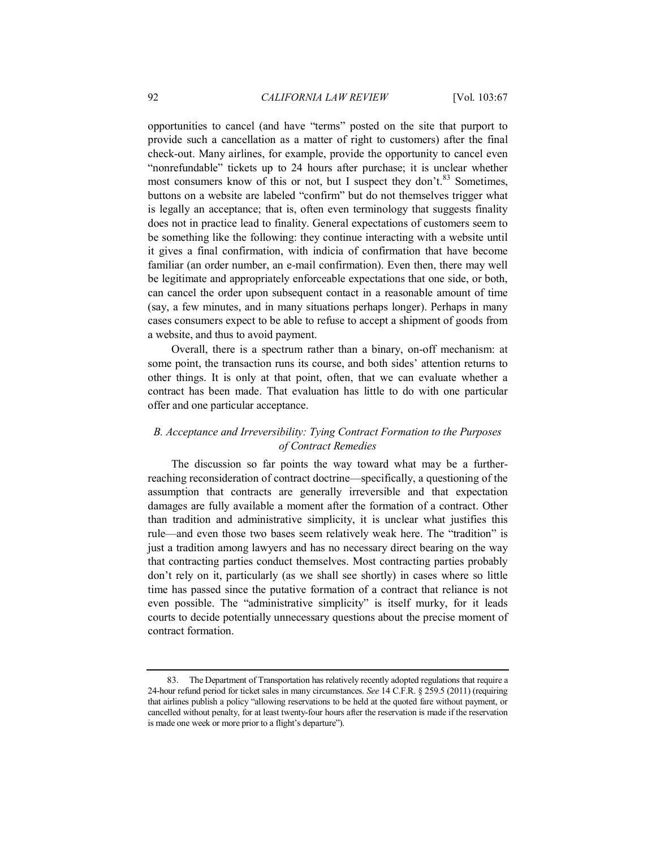opportunities to cancel (and have "terms" posted on the site that purport to provide such a cancellation as a matter of right to customers) after the final check-out. Many airlines, for example, provide the opportunity to cancel even "nonrefundable" tickets up to 24 hours after purchase; it is unclear whether most consumers know of this or not, but I suspect they don't. $83$  Sometimes, buttons on a website are labeled "confirm" but do not themselves trigger what is legally an acceptance; that is, often even terminology that suggests finality does not in practice lead to finality. General expectations of customers seem to be something like the following: they continue interacting with a website until it gives a final confirmation, with indicia of confirmation that have become familiar (an order number, an e-mail confirmation). Even then, there may well be legitimate and appropriately enforceable expectations that one side, or both, can cancel the order upon subsequent contact in a reasonable amount of time (say, a few minutes, and in many situations perhaps longer). Perhaps in many cases consumers expect to be able to refuse to accept a shipment of goods from a website, and thus to avoid payment.

Overall, there is a spectrum rather than a binary, on-off mechanism: at some point, the transaction runs its course, and both sides' attention returns to other things. It is only at that point, often, that we can evaluate whether a contract has been made. That evaluation has little to do with one particular offer and one particular acceptance.

# *B. Acceptance and Irreversibility: Tying Contract Formation to the Purposes of Contract Remedies*

The discussion so far points the way toward what may be a furtherreaching reconsideration of contract doctrine—specifically, a questioning of the assumption that contracts are generally irreversible and that expectation damages are fully available a moment after the formation of a contract. Other than tradition and administrative simplicity, it is unclear what justifies this rule—and even those two bases seem relatively weak here. The "tradition" is just a tradition among lawyers and has no necessary direct bearing on the way that contracting parties conduct themselves. Most contracting parties probably don't rely on it, particularly (as we shall see shortly) in cases where so little time has passed since the putative formation of a contract that reliance is not even possible. The "administrative simplicity" is itself murky, for it leads courts to decide potentially unnecessary questions about the precise moment of contract formation.

<span id="page-26-0"></span><sup>83.</sup> The Department of Transportation has relatively recently adopted regulations that require a 24-hour refund period for ticket sales in many circumstances. *See* 14 C.F.R. § 259.5 (2011) (requiring that airlines publish a policy "allowing reservations to be held at the quoted fare without payment, or cancelled without penalty, for at least twenty-four hours after the reservation is made if the reservation is made one week or more prior to a flight's departure").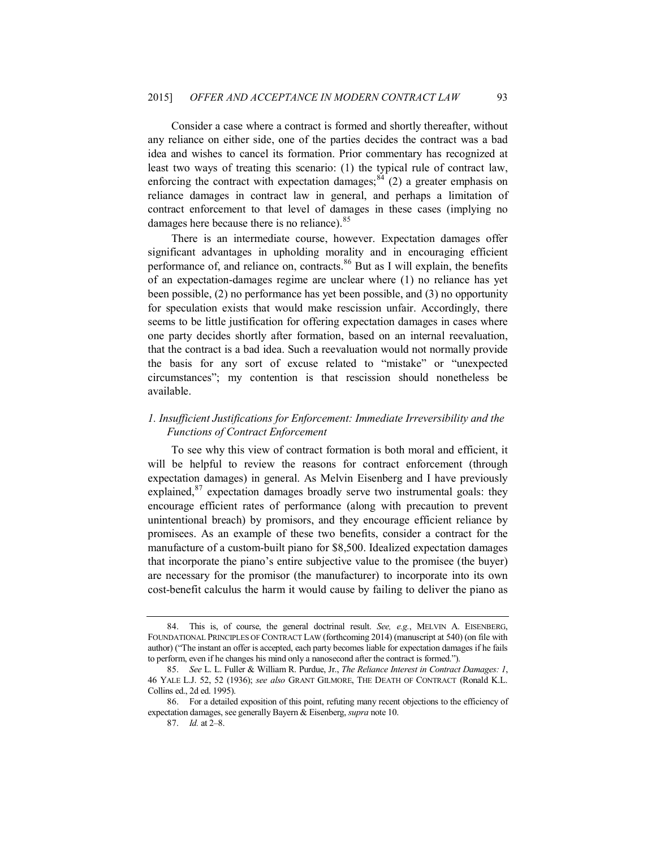<span id="page-27-4"></span>Consider a case where a contract is formed and shortly thereafter, without any reliance on either side, one of the parties decides the contract was a bad idea and wishes to cancel its formation. Prior commentary has recognized at least two ways of treating this scenario: (1) the typical rule of contract law, enforcing the contract with expectation damages;  $84 (2)$  $84 (2)$  a greater emphasis on reliance damages in contract law in general, and perhaps a limitation of contract enforcement to that level of damages in these cases (implying no damages here because there is no reliance).<sup>[85](#page-27-1)</sup>

There is an intermediate course, however. Expectation damages offer significant advantages in upholding morality and in encouraging efficient performance of, and reliance on, contracts. $86$  But as I will explain, the benefits of an expectation-damages regime are unclear where (1) no reliance has yet been possible, (2) no performance has yet been possible, and (3) no opportunity for speculation exists that would make rescission unfair. Accordingly, there seems to be little justification for offering expectation damages in cases where one party decides shortly after formation, based on an internal reevaluation, that the contract is a bad idea. Such a reevaluation would not normally provide the basis for any sort of excuse related to "mistake" or "unexpected circumstances"; my contention is that rescission should nonetheless be available.

# *1. Insufficient Justifications for Enforcement: Immediate Irreversibility and the Functions of Contract Enforcement*

To see why this view of contract formation is both moral and efficient, it will be helpful to review the reasons for contract enforcement (through expectation damages) in general. As Melvin Eisenberg and I have previously explained, $87$  expectation damages broadly serve two instrumental goals: they encourage efficient rates of performance (along with precaution to prevent unintentional breach) by promisors, and they encourage efficient reliance by promisees. As an example of these two benefits, consider a contract for the manufacture of a custom-built piano for \$8,500. Idealized expectation damages that incorporate the piano's entire subjective value to the promisee (the buyer) are necessary for the promisor (the manufacturer) to incorporate into its own cost-benefit calculus the harm it would cause by failing to deliver the piano as

<span id="page-27-0"></span><sup>84.</sup> This is, of course, the general doctrinal result. *See, e.g.*, MELVIN A. EISENBERG, FOUNDATIONAL PRINCIPLES OF CONTRACT LAW (forthcoming 2014) (manuscript at 540) (on file with author) ("The instant an offer is accepted, each party becomes liable for expectation damages if he fails to perform, even if he changes his mind only a nanosecond after the contract is formed.").

<span id="page-27-1"></span><sup>85.</sup> *See* L. L. Fuller & William R. Purdue, Jr., *The Reliance Interest in Contract Damages: 1*, 46 YALE L.J. 52, 52 (1936); *see also* GRANT GILMORE, THE DEATH OF CONTRACT (Ronald K.L. Collins ed., 2d ed. 1995).

<span id="page-27-3"></span><span id="page-27-2"></span><sup>86.</sup> For a detailed exposition of this point, refuting many recent objections to the efficiency of expectation damages, see generally Bayern & Eisenberg, *supra* not[e 10.](#page-5-3)

<sup>87.</sup> *Id.* at 2–8.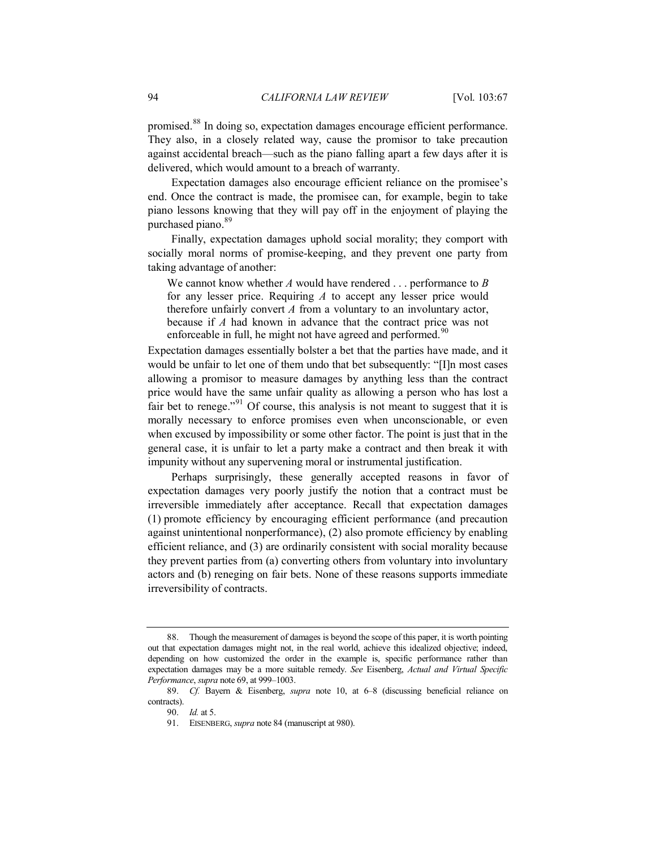promised.[88](#page-28-0) In doing so, expectation damages encourage efficient performance. They also, in a closely related way, cause the promisor to take precaution against accidental breach—such as the piano falling apart a few days after it is delivered, which would amount to a breach of warranty.

Expectation damages also encourage efficient reliance on the promisee's end. Once the contract is made, the promisee can, for example, begin to take piano lessons knowing that they will pay off in the enjoyment of playing the purchased piano.<sup>[89](#page-28-1)</sup>

Finally, expectation damages uphold social morality; they comport with socially moral norms of promise-keeping, and they prevent one party from taking advantage of another:

We cannot know whether *A* would have rendered . . . performance to *B* for any lesser price. Requiring *A* to accept any lesser price would therefore unfairly convert *A* from a voluntary to an involuntary actor, because if *A* had known in advance that the contract price was not enforceable in full, he might not have agreed and performed.<sup>9</sup>

Expectation damages essentially bolster a bet that the parties have made, and it would be unfair to let one of them undo that bet subsequently: "[I]n most cases allowing a promisor to measure damages by anything less than the contract price would have the same unfair quality as allowing a person who has lost a fair bet to renege."<sup>[91](#page-28-3)</sup> Of course, this analysis is not meant to suggest that it is morally necessary to enforce promises even when unconscionable, or even when excused by impossibility or some other factor. The point is just that in the general case, it is unfair to let a party make a contract and then break it with impunity without any supervening moral or instrumental justification.

Perhaps surprisingly, these generally accepted reasons in favor of expectation damages very poorly justify the notion that a contract must be irreversible immediately after acceptance. Recall that expectation damages (1) promote efficiency by encouraging efficient performance (and precaution against unintentional nonperformance), (2) also promote efficiency by enabling efficient reliance, and (3) are ordinarily consistent with social morality because they prevent parties from (a) converting others from voluntary into involuntary actors and (b) reneging on fair bets. None of these reasons supports immediate irreversibility of contracts.

<span id="page-28-0"></span><sup>88.</sup> Though the measurement of damages is beyond the scope of this paper, it is worth pointing out that expectation damages might not, in the real world, achieve this idealized objective; indeed, depending on how customized the order in the example is, specific performance rather than expectation damages may be a more suitable remedy. *See* Eisenberg, *Actual and Virtual Specific Performance*, *supra* not[e 69,](#page-21-0) at 999–1003.

<span id="page-28-3"></span><span id="page-28-2"></span><span id="page-28-1"></span><sup>89.</sup> *Cf.* Bayern & Eisenberg, *supra* note [10,](#page-5-3) at 6–8 (discussing beneficial reliance on contracts).

<sup>90.</sup> *Id.* at 5.

<sup>91.</sup> EISENBERG, *supra* not[e 84](#page-27-4) (manuscript at 980).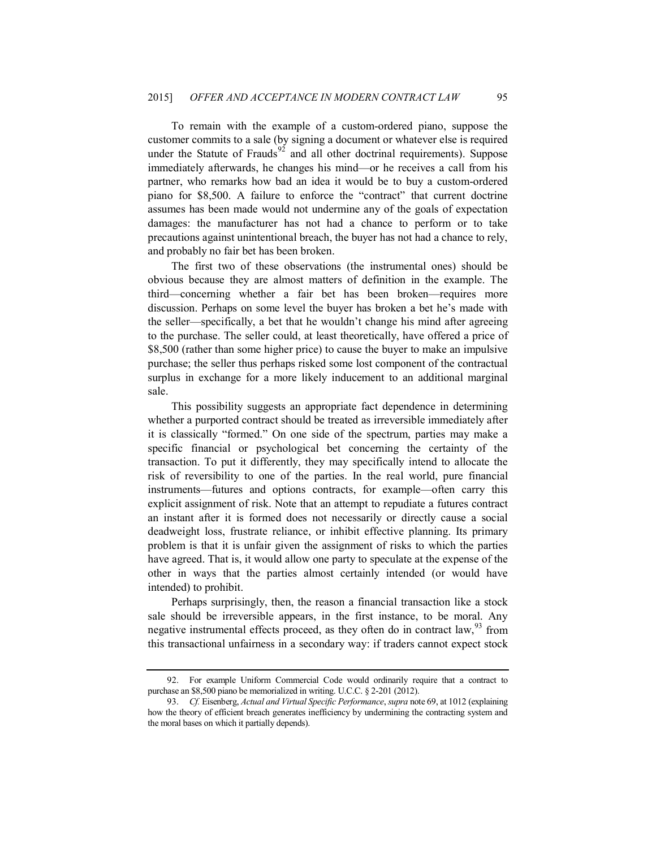To remain with the example of a custom-ordered piano, suppose the customer commits to a sale (by signing a document or whatever else is required under the Statute of Frauds<sup>[92](#page-29-0)</sup> and all other doctrinal requirements). Suppose immediately afterwards, he changes his mind—or he receives a call from his partner, who remarks how bad an idea it would be to buy a custom-ordered piano for \$8,500. A failure to enforce the "contract" that current doctrine assumes has been made would not undermine any of the goals of expectation damages: the manufacturer has not had a chance to perform or to take precautions against unintentional breach, the buyer has not had a chance to rely, and probably no fair bet has been broken.

The first two of these observations (the instrumental ones) should be obvious because they are almost matters of definition in the example. The third—concerning whether a fair bet has been broken—requires more discussion. Perhaps on some level the buyer has broken a bet he's made with the seller—specifically, a bet that he wouldn't change his mind after agreeing to the purchase. The seller could, at least theoretically, have offered a price of \$8,500 (rather than some higher price) to cause the buyer to make an impulsive purchase; the seller thus perhaps risked some lost component of the contractual surplus in exchange for a more likely inducement to an additional marginal sale.

This possibility suggests an appropriate fact dependence in determining whether a purported contract should be treated as irreversible immediately after it is classically "formed." On one side of the spectrum, parties may make a specific financial or psychological bet concerning the certainty of the transaction. To put it differently, they may specifically intend to allocate the risk of reversibility to one of the parties. In the real world, pure financial instruments—futures and options contracts, for example—often carry this explicit assignment of risk. Note that an attempt to repudiate a futures contract an instant after it is formed does not necessarily or directly cause a social deadweight loss, frustrate reliance, or inhibit effective planning. Its primary problem is that it is unfair given the assignment of risks to which the parties have agreed. That is, it would allow one party to speculate at the expense of the other in ways that the parties almost certainly intended (or would have intended) to prohibit.

Perhaps surprisingly, then, the reason a financial transaction like a stock sale should be irreversible appears, in the first instance, to be moral. Any negative instrumental effects proceed, as they often do in contract  $law$ ,  $93$  from this transactional unfairness in a secondary way: if traders cannot expect stock

<span id="page-29-0"></span><sup>92.</sup> For example Uniform Commercial Code would ordinarily require that a contract to purchase an \$8,500 piano be memorialized in writing. U.C.C. § 2-201 (2012).

<span id="page-29-1"></span><sup>93.</sup> *Cf.* Eisenberg, *Actual and Virtual Specific Performance*, *supra* not[e 69,](#page-21-0) at 1012 (explaining how the theory of efficient breach generates inefficiency by undermining the contracting system and the moral bases on which it partially depends).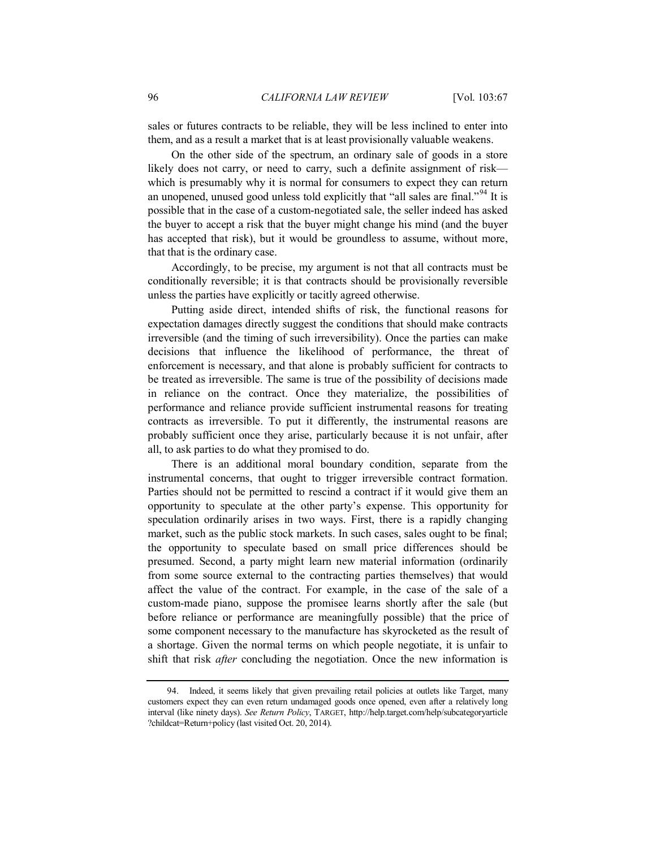sales or futures contracts to be reliable, they will be less inclined to enter into them, and as a result a market that is at least provisionally valuable weakens.

On the other side of the spectrum, an ordinary sale of goods in a store likely does not carry, or need to carry, such a definite assignment of risk which is presumably why it is normal for consumers to expect they can return an unopened, unused good unless told explicitly that "all sales are final."<sup>[94](#page-30-0)</sup> It is possible that in the case of a custom-negotiated sale, the seller indeed has asked the buyer to accept a risk that the buyer might change his mind (and the buyer has accepted that risk), but it would be groundless to assume, without more, that that is the ordinary case.

Accordingly, to be precise, my argument is not that all contracts must be conditionally reversible; it is that contracts should be provisionally reversible unless the parties have explicitly or tacitly agreed otherwise.

Putting aside direct, intended shifts of risk, the functional reasons for expectation damages directly suggest the conditions that should make contracts irreversible (and the timing of such irreversibility). Once the parties can make decisions that influence the likelihood of performance, the threat of enforcement is necessary, and that alone is probably sufficient for contracts to be treated as irreversible. The same is true of the possibility of decisions made in reliance on the contract. Once they materialize, the possibilities of performance and reliance provide sufficient instrumental reasons for treating contracts as irreversible. To put it differently, the instrumental reasons are probably sufficient once they arise, particularly because it is not unfair, after all, to ask parties to do what they promised to do.

There is an additional moral boundary condition, separate from the instrumental concerns, that ought to trigger irreversible contract formation. Parties should not be permitted to rescind a contract if it would give them an opportunity to speculate at the other party's expense. This opportunity for speculation ordinarily arises in two ways. First, there is a rapidly changing market, such as the public stock markets. In such cases, sales ought to be final; the opportunity to speculate based on small price differences should be presumed. Second, a party might learn new material information (ordinarily from some source external to the contracting parties themselves) that would affect the value of the contract. For example, in the case of the sale of a custom-made piano, suppose the promisee learns shortly after the sale (but before reliance or performance are meaningfully possible) that the price of some component necessary to the manufacture has skyrocketed as the result of a shortage. Given the normal terms on which people negotiate, it is unfair to shift that risk *after* concluding the negotiation. Once the new information is

<span id="page-30-0"></span><sup>94.</sup> Indeed, it seems likely that given prevailing retail policies at outlets like Target, many customers expect they can even return undamaged goods once opened, even after a relatively long interval (like ninety days). *See Return Policy*, TARGET, http://help.target.com/help/subcategoryarticle ?childcat=Return+policy (last visited Oct. 20, 2014).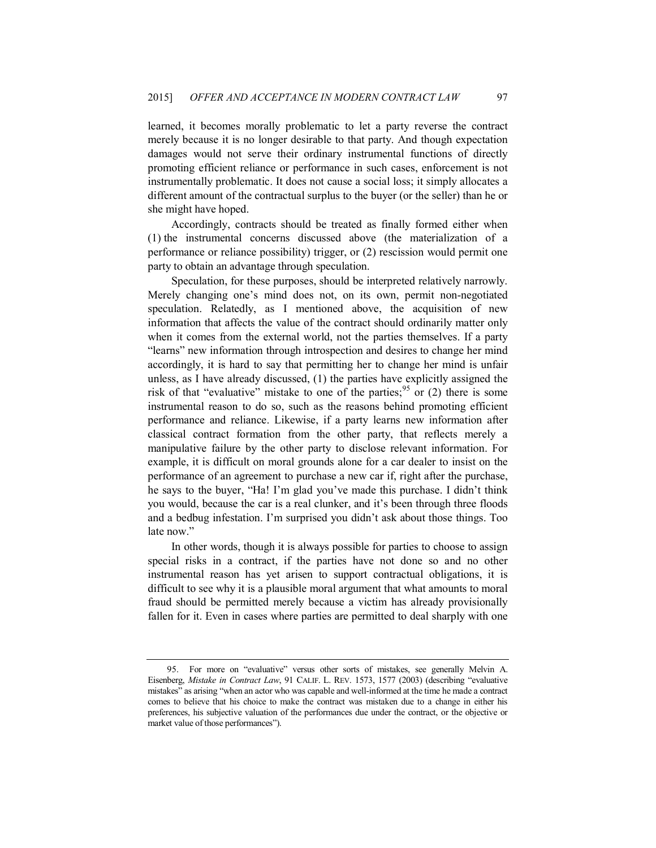learned, it becomes morally problematic to let a party reverse the contract merely because it is no longer desirable to that party. And though expectation damages would not serve their ordinary instrumental functions of directly promoting efficient reliance or performance in such cases, enforcement is not instrumentally problematic. It does not cause a social loss; it simply allocates a different amount of the contractual surplus to the buyer (or the seller) than he or she might have hoped.

Accordingly, contracts should be treated as finally formed either when (1) the instrumental concerns discussed above (the materialization of a performance or reliance possibility) trigger, or (2) rescission would permit one party to obtain an advantage through speculation.

Speculation, for these purposes, should be interpreted relatively narrowly. Merely changing one's mind does not, on its own, permit non-negotiated speculation. Relatedly, as I mentioned above, the acquisition of new information that affects the value of the contract should ordinarily matter only when it comes from the external world, not the parties themselves. If a party "learns" new information through introspection and desires to change her mind accordingly, it is hard to say that permitting her to change her mind is unfair unless, as I have already discussed, (1) the parties have explicitly assigned the risk of that "evaluative" mistake to one of the parties;  $\frac{95}{9}$  $\frac{95}{9}$  $\frac{95}{9}$  or (2) there is some instrumental reason to do so, such as the reasons behind promoting efficient performance and reliance. Likewise, if a party learns new information after classical contract formation from the other party, that reflects merely a manipulative failure by the other party to disclose relevant information. For example, it is difficult on moral grounds alone for a car dealer to insist on the performance of an agreement to purchase a new car if, right after the purchase, he says to the buyer, "Ha! I'm glad you've made this purchase. I didn't think you would, because the car is a real clunker, and it's been through three floods and a bedbug infestation. I'm surprised you didn't ask about those things. Too late now."

In other words, though it is always possible for parties to choose to assign special risks in a contract, if the parties have not done so and no other instrumental reason has yet arisen to support contractual obligations, it is difficult to see why it is a plausible moral argument that what amounts to moral fraud should be permitted merely because a victim has already provisionally fallen for it. Even in cases where parties are permitted to deal sharply with one

<span id="page-31-0"></span><sup>95.</sup> For more on "evaluative" versus other sorts of mistakes, see generally Melvin A. Eisenberg, *Mistake in Contract Law*, 91 CALIF. L. REV. 1573, 1577 (2003) (describing "evaluative mistakes" as arising "when an actor who was capable and well-informed at the time he made a contract comes to believe that his choice to make the contract was mistaken due to a change in either his preferences, his subjective valuation of the performances due under the contract, or the objective or market value of those performances").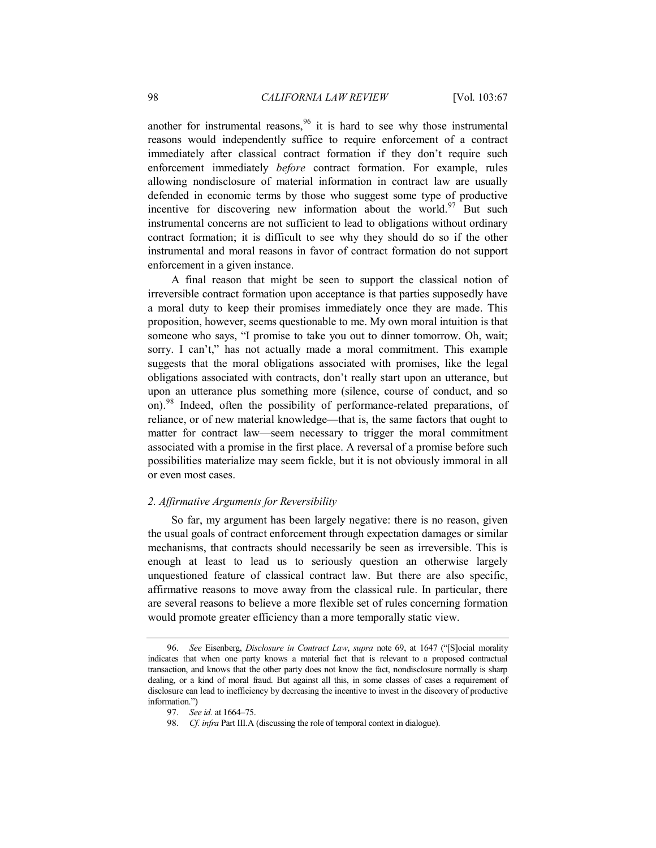another for instrumental reasons,  $96$  it is hard to see why those instrumental reasons would independently suffice to require enforcement of a contract immediately after classical contract formation if they don't require such enforcement immediately *before* contract formation. For example, rules allowing nondisclosure of material information in contract law are usually defended in economic terms by those who suggest some type of productive incentive for discovering new information about the world.<sup>[97](#page-32-1)</sup> But such instrumental concerns are not sufficient to lead to obligations without ordinary contract formation; it is difficult to see why they should do so if the other instrumental and moral reasons in favor of contract formation do not support enforcement in a given instance.

A final reason that might be seen to support the classical notion of irreversible contract formation upon acceptance is that parties supposedly have a moral duty to keep their promises immediately once they are made. This proposition, however, seems questionable to me. My own moral intuition is that someone who says, "I promise to take you out to dinner tomorrow. Oh, wait; sorry. I can't," has not actually made a moral commitment. This example suggests that the moral obligations associated with promises, like the legal obligations associated with contracts, don't really start upon an utterance, but upon an utterance plus something more (silence, course of conduct, and so on).<sup>[98](#page-32-2)</sup> Indeed, often the possibility of performance-related preparations, of reliance, or of new material knowledge—that is, the same factors that ought to matter for contract law—seem necessary to trigger the moral commitment associated with a promise in the first place. A reversal of a promise before such possibilities materialize may seem fickle, but it is not obviously immoral in all or even most cases.

# *2. Affirmative Arguments for Reversibility*

So far, my argument has been largely negative: there is no reason, given the usual goals of contract enforcement through expectation damages or similar mechanisms, that contracts should necessarily be seen as irreversible. This is enough at least to lead us to seriously question an otherwise largely unquestioned feature of classical contract law. But there are also specific, affirmative reasons to move away from the classical rule. In particular, there are several reasons to believe a more flexible set of rules concerning formation would promote greater efficiency than a more temporally static view.

<span id="page-32-2"></span><span id="page-32-1"></span><span id="page-32-0"></span><sup>96.</sup> *See* Eisenberg, *Disclosure in Contract Law*, *supra* note [69,](#page-21-0) at 1647 ("[S]ocial morality indicates that when one party knows a material fact that is relevant to a proposed contractual transaction, and knows that the other party does not know the fact, nondisclosure normally is sharp dealing, or a kind of moral fraud. But against all this, in some classes of cases a requirement of disclosure can lead to inefficiency by decreasing the incentive to invest in the discovery of productive information.")

<sup>97.</sup> *See id.* at 1664–75.

<sup>98.</sup> *Cf. infra* Part III.A (discussing the role of temporal context in dialogue).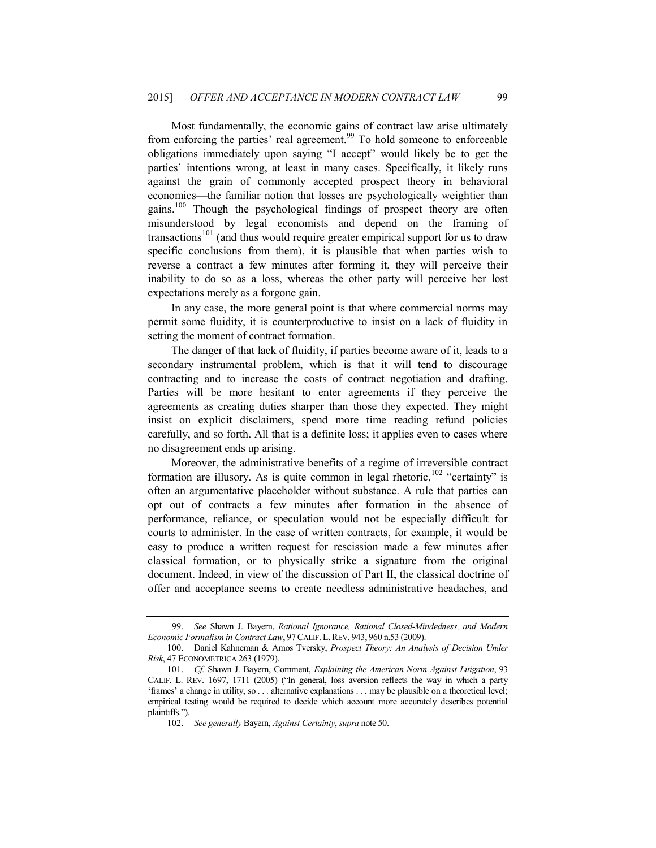Most fundamentally, the economic gains of contract law arise ultimately from enforcing the parties' real agreement.<sup>[99](#page-33-0)</sup> To hold someone to enforceable obligations immediately upon saying "I accept" would likely be to get the parties' intentions wrong, at least in many cases. Specifically, it likely runs against the grain of commonly accepted prospect theory in behavioral economics—the familiar notion that losses are psychologically weightier than gains.<sup>[100](#page-33-1)</sup> Though the psychological findings of prospect theory are often misunderstood by legal economists and depend on the framing of transactions<sup>[101](#page-33-2)</sup> (and thus would require greater empirical support for us to draw specific conclusions from them), it is plausible that when parties wish to reverse a contract a few minutes after forming it, they will perceive their inability to do so as a loss, whereas the other party will perceive her lost expectations merely as a forgone gain.

In any case, the more general point is that where commercial norms may permit some fluidity, it is counterproductive to insist on a lack of fluidity in setting the moment of contract formation.

The danger of that lack of fluidity, if parties become aware of it, leads to a secondary instrumental problem, which is that it will tend to discourage contracting and to increase the costs of contract negotiation and drafting. Parties will be more hesitant to enter agreements if they perceive the agreements as creating duties sharper than those they expected. They might insist on explicit disclaimers, spend more time reading refund policies carefully, and so forth. All that is a definite loss; it applies even to cases where no disagreement ends up arising.

Moreover, the administrative benefits of a regime of irreversible contract formation are illusory. As is quite common in legal rhetoric,  $102$  "certainty" is often an argumentative placeholder without substance. A rule that parties can opt out of contracts a few minutes after formation in the absence of performance, reliance, or speculation would not be especially difficult for courts to administer. In the case of written contracts, for example, it would be easy to produce a written request for rescission made a few minutes after classical formation, or to physically strike a signature from the original document. Indeed, in view of the discussion of Part II, the classical doctrine of offer and acceptance seems to create needless administrative headaches, and

<span id="page-33-0"></span><sup>99.</sup> *See* Shawn J. Bayern, *Rational Ignorance, Rational Closed-Mindedness, and Modern Economic Formalism in Contract Law*, 97CALIF. L. REV. 943, 960 n.53 (2009).

<span id="page-33-1"></span><sup>100.</sup> Daniel Kahneman & Amos Tversky, *Prospect Theory: An Analysis of Decision Under Risk*, 47 ECONOMETRICA 263 (1979).

<span id="page-33-3"></span><span id="page-33-2"></span><sup>101.</sup> *Cf.* Shawn J. Bayern, Comment, *Explaining the American Norm Against Litigation*, 93 CALIF. L. REV. 1697, 1711 (2005) ("In general, loss aversion reflects the way in which a party 'frames' a change in utility, so . . . alternative explanations . . . may be plausible on a theoretical level; empirical testing would be required to decide which account more accurately describes potential plaintiffs.").

<sup>102.</sup> *See generally* Bayern, *Against Certainty*, *supra* not[e 50.](#page-16-5)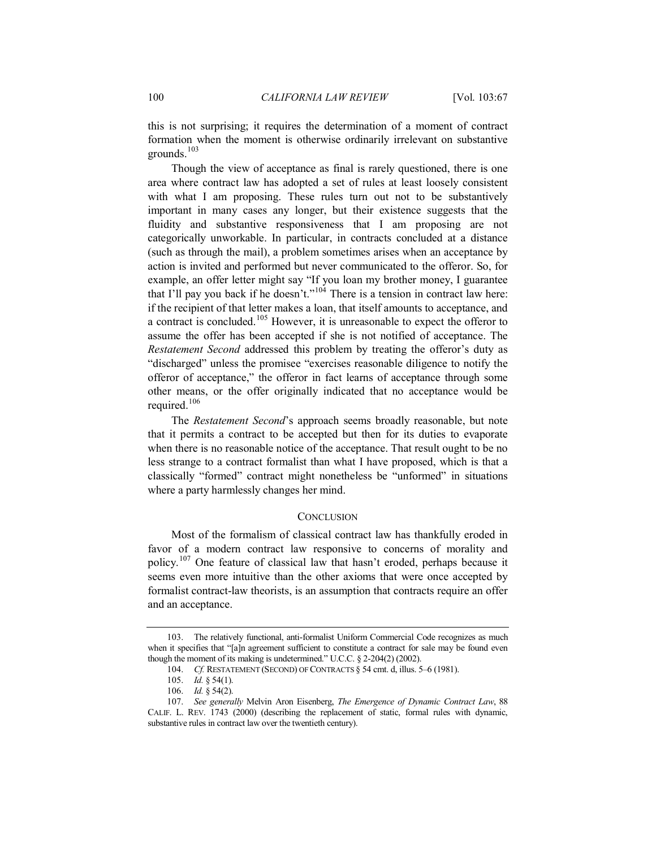this is not surprising; it requires the determination of a moment of contract formation when the moment is otherwise ordinarily irrelevant on substantive grounds.<sup>[103](#page-34-0)</sup>

Though the view of acceptance as final is rarely questioned, there is one area where contract law has adopted a set of rules at least loosely consistent with what I am proposing. These rules turn out not to be substantively important in many cases any longer, but their existence suggests that the fluidity and substantive responsiveness that I am proposing are not categorically unworkable. In particular, in contracts concluded at a distance (such as through the mail), a problem sometimes arises when an acceptance by action is invited and performed but never communicated to the offeror. So, for example, an offer letter might say "If you loan my brother money, I guarantee that I'll pay you back if he doesn't."<sup>[104](#page-34-1)</sup> There is a tension in contract law here: if the recipient of that letter makes a loan, that itself amounts to acceptance, and a contract is concluded.<sup>[105](#page-34-2)</sup> However, it is unreasonable to expect the offeror to assume the offer has been accepted if she is not notified of acceptance. The *Restatement Second* addressed this problem by treating the offeror's duty as "discharged" unless the promisee "exercises reasonable diligence to notify the offeror of acceptance," the offeror in fact learns of acceptance through some other means, or the offer originally indicated that no acceptance would be required.[106](#page-34-3)

The *Restatement Second*'s approach seems broadly reasonable, but note that it permits a contract to be accepted but then for its duties to evaporate when there is no reasonable notice of the acceptance. That result ought to be no less strange to a contract formalist than what I have proposed, which is that a classically "formed" contract might nonetheless be "unformed" in situations where a party harmlessly changes her mind.

#### **CONCLUSION**

Most of the formalism of classical contract law has thankfully eroded in favor of a modern contract law responsive to concerns of morality and policy.<sup>[107](#page-34-4)</sup> One feature of classical law that hasn't eroded, perhaps because it seems even more intuitive than the other axioms that were once accepted by formalist contract-law theorists, is an assumption that contracts require an offer and an acceptance.

<span id="page-34-1"></span><span id="page-34-0"></span><sup>103.</sup> The relatively functional, anti-formalist Uniform Commercial Code recognizes as much when it specifies that "[a]n agreement sufficient to constitute a contract for sale may be found even though the moment of its making is undetermined." U.C.C. § 2-204(2) (2002).

<sup>104.</sup> *Cf.* RESTATEMENT (SECOND) OF CONTRACTS § 54 cmt. d, illus. 5–6 (1981).

<sup>105.</sup> *Id.* § 54(1).

<sup>106.</sup> *Id.* § 54(2).

<span id="page-34-4"></span><span id="page-34-3"></span><span id="page-34-2"></span><sup>107.</sup> *See generally* Melvin Aron Eisenberg, *The Emergence of Dynamic Contract Law*, 88 CALIF. L. REV. 1743 (2000) (describing the replacement of static, formal rules with dynamic, substantive rules in contract law over the twentieth century).